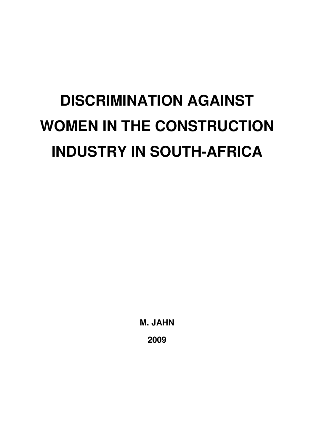# **DISCRIMINATION AGAINST WOMEN IN THE CONSTRUCTION INDUSTRY IN SOUTH-AFRICA**

**M. JAHN 2009**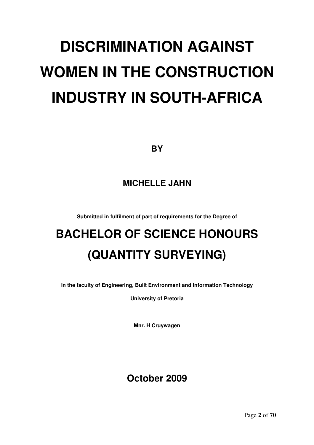# **DISCRIMINATION AGAINST WOMEN IN THE CONSTRUCTION INDUSTRY IN SOUTH-AFRICA**

**BY**

## **MICHELLE JAHN**

**Submitted in fulfilment of part of requirements for the Degree of**

## **BACHELOR OF SCIENCE HONOURS (QUANTITY SURVEYING)**

**In the faculty of Engineering, Built Environment and Information Technology**

**University of Pretoria**

**Mnr. H Cruywagen**

## **October 2009**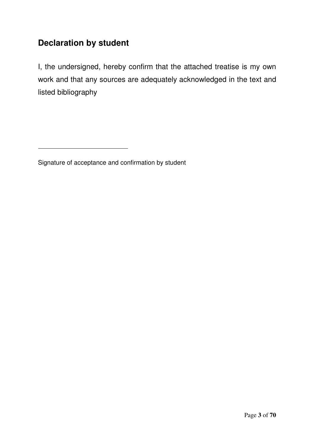## **Declaration by student**

I, the undersigned, hereby confirm that the attached treatise is my own work and that any sources are adequately acknowledged in the text and listed bibliography

Signature of acceptance and confirmation by student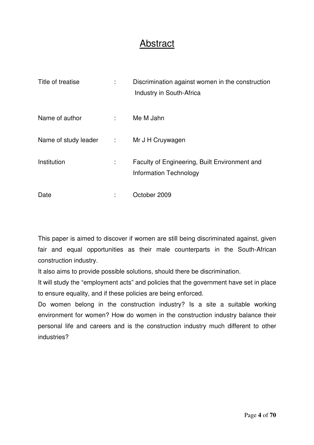## Abstract

| Title of treatise      |       | Discrimination against women in the construction<br>Industry in South-Africa   |
|------------------------|-------|--------------------------------------------------------------------------------|
| Name of author         | diam. | Me M Jahn                                                                      |
| Name of study leader : |       | Mr J H Cruywagen                                                               |
| Institution            | ÷     | Faculty of Engineering, Built Environment and<br><b>Information Technology</b> |
| Date                   |       | October 2009                                                                   |

This paper is aimed to discover if women are still being discriminated against, given fair and equal opportunities as their male counterparts in the South-African construction industry.

It also aims to provide possible solutions, should there be discrimination.

It will study the "employment acts" and policies that the government have set in place to ensure equality, and if these policies are being enforced.

Do women belong in the construction industry? Is a site a suitable working environment for women? How do women in the construction industry balance their personal life and careers and is the construction industry much different to other industries?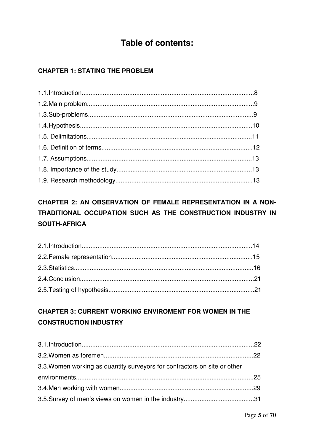## **Table of contents:**

#### **CHAPTER 1: STATING THE PROBLEM**

## CHAPTER 2: AN OBSERVATION OF FEMALE REPRESENTATION IN A NON-TRADITIONAL OCCUPATION SUCH AS THE CONSTRUCTION INDUSTRY IN **SOUTH-AFRICA**

### **CHAPTER 3: CURRENT WORKING ENVIROMENT FOR WOMEN IN THE CONSTRUCTION INDUSTRY**

| 3.3. Women working as quantity surveyors for contractors on site or other |  |
|---------------------------------------------------------------------------|--|
|                                                                           |  |
|                                                                           |  |
|                                                                           |  |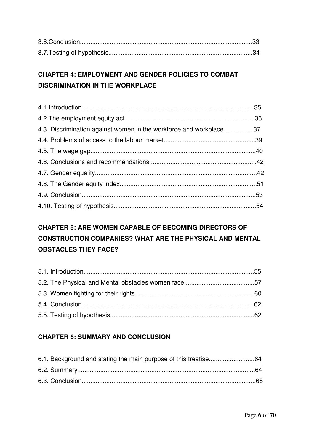#### **CHAPTER 4: EMPLOYMENT AND GENDER POLICIES TO COMBAT DISCRIMINATION IN THE WORKPLACE**

| 4.3. Discrimination against women in the workforce and workplace37 |  |
|--------------------------------------------------------------------|--|
|                                                                    |  |
|                                                                    |  |
|                                                                    |  |
|                                                                    |  |
|                                                                    |  |
|                                                                    |  |
|                                                                    |  |

## **CHAPTER 5: ARE WOMEN CAPABLE OF BECOMING DIRECTORS OF CONSTRUCTION COMPANIES? WHAT ARE THE PHYSICAL AND MENTAL OBSTACLES THEY FACE?**

#### **CHAPTER 6: SUMMARY AND CONCLUSION**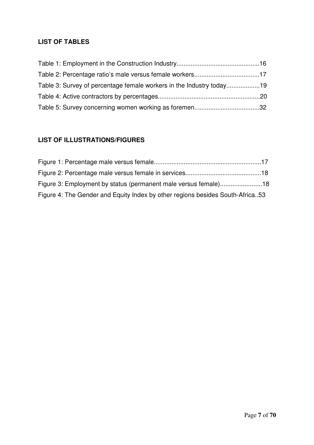#### **LIST OF TABLES**

| Table 3: Survey of percentage female workers in the Industry today19 |  |
|----------------------------------------------------------------------|--|
|                                                                      |  |
|                                                                      |  |

#### **LIST OF ILLUSTRATIONS/FIGURES**

| Figure 3: Employment by status (permanent male versus female)18               |  |
|-------------------------------------------------------------------------------|--|
| Figure 4: The Gender and Equity Index by other regions besides South-Africa53 |  |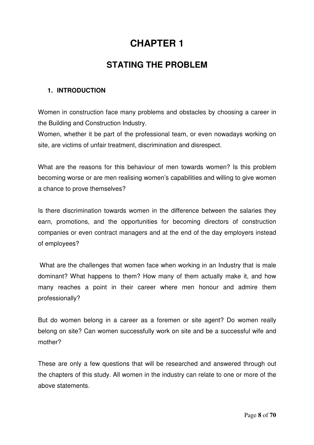## **CHAPTER 1**

## **STATING THE PROBLEM**

#### **1. INTRODUCTION**

Women in construction face many problems and obstacles by choosing a career in the Building and Construction Industry.

Women, whether it be part of the professional team, or even nowadays working on site, are victims of unfair treatment, discrimination and disrespect.

What are the reasons for this behaviour of men towards women? Is this problem becoming worse or are men realising women's capabilities and willing to give women a chance to prove themselves?

Is there discrimination towards women in the difference between the salaries they earn, promotions, and the opportunities for becoming directors of construction companies or even contract managers and at the end of the day employers instead of employees?

What are the challenges that women face when working in an Industry that is male dominant? What happens to them? How many of them actually make it, and how many reaches a point in their career where men honour and admire them professionally?

But do women belong in a career as a foremen or site agent? Do women really belong on site? Can women successfully work on site and be a successful wife and mother?

These are only a few questions that will be researched and answered through out the chapters of this study. All women in the industry can relate to one or more of the above statements.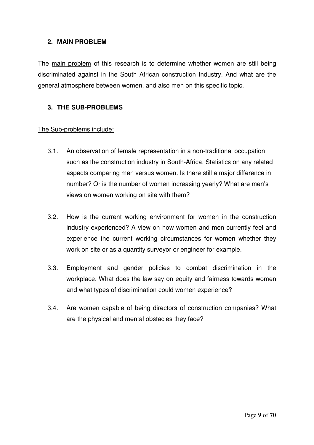#### **2. MAIN PROBLEM**

The main problem of this research is to determine whether women are still being discriminated against in the South African construction Industry. And what are the general atmosphere between women, and also men on this specific topic.

#### **3. THE SUB-PROBLEMS**

#### The Sub-problems include:

- 3.1. An observation of female representation in a non-traditional occupation such as the construction industry in South-Africa. Statistics on any related aspects comparing men versus women. Is there still a major difference in number? Or is the number of women increasing yearly? What are men's views on women working on site with them?
- 3.2. How is the current working environment for women in the construction industry experienced? A view on how women and men currently feel and experience the current working circumstances for women whether they work on site or as a quantity surveyor or engineer for example.
- 3.3. Employment and gender policies to combat discrimination in the workplace. What does the law say on equity and fairness towards women and what types of discrimination could women experience?
- 3.4. Are women capable of being directors of construction companies? What are the physical and mental obstacles they face?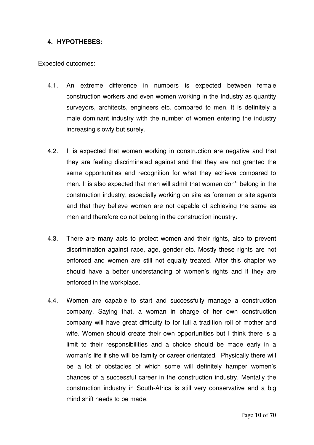#### **4. HYPOTHESES:**

Expected outcomes:

- 4.1. An extreme difference in numbers is expected between female construction workers and even women working in the Industry as quantity surveyors, architects, engineers etc. compared to men. It is definitely a male dominant industry with the number of women entering the industry increasing slowly but surely.
- 4.2. It is expected that women working in construction are negative and that they are feeling discriminated against and that they are not granted the same opportunities and recognition for what they achieve compared to men. It is also expected that men will admit that women don't belong in the construction industry; especially working on site as foremen or site agents and that they believe women are not capable of achieving the same as men and therefore do not belong in the construction industry.
- 4.3. There are many acts to protect women and their rights, also to prevent discrimination against race, age, gender etc. Mostly these rights are not enforced and women are still not equally treated. After this chapter we should have a better understanding of women's rights and if they are enforced in the workplace.
- 4.4. Women are capable to start and successfully manage a construction company. Saying that, a woman in charge of her own construction company will have great difficulty to for full a tradition roll of mother and wife. Women should create their own opportunities but I think there is a limit to their responsibilities and a choice should be made early in a woman's life if she will be family or career orientated. Physically there will be a lot of obstacles of which some will definitely hamper women's chances of a successful career in the construction industry. Mentally the construction industry in South-Africa is still very conservative and a big mind shift needs to be made.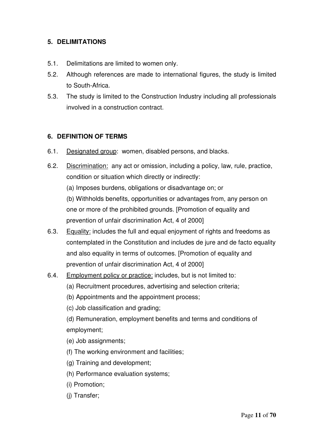#### **5. DELIMITATIONS**

- 5.1. Delimitations are limited to women only.
- 5.2. Although references are made to international figures, the study is limited to South-Africa.
- 5.3. The study is limited to the Construction Industry including all professionals involved in a construction contract.

#### **6. DEFINITION OF TERMS**

- 6.1. Designated group: women, disabled persons, and blacks.
- 6.2. Discrimination: any act or omission, including a policy, law, rule, practice, condition or situation which directly or indirectly:
	- (a) Imposes burdens, obligations or disadvantage on; or

(b) Withholds benefits, opportunities or advantages from, any person on one or more of the prohibited grounds. [Promotion of equality and prevention of unfair discrimination Act, 4 of 2000]

- 6.3. Equality: includes the full and equal enjoyment of rights and freedoms as contemplated in the Constitution and includes de jure and de facto equality and also equality in terms of outcomes. [Promotion of equality and prevention of unfair discrimination Act, 4 of 2000]
- 6.4. Employment policy or practice: includes, but is not limited to:
	- (a) Recruitment procedures, advertising and selection criteria;
	- (b) Appointments and the appointment process;
	- (c) Job classification and grading;

(d) Remuneration, employment benefits and terms and conditions of employment;

- (e) Job assignments;
- (f) The working environment and facilities;
- (g) Training and development;
- (h) Performance evaluation systems;
- (i) Promotion;
- (j) Transfer;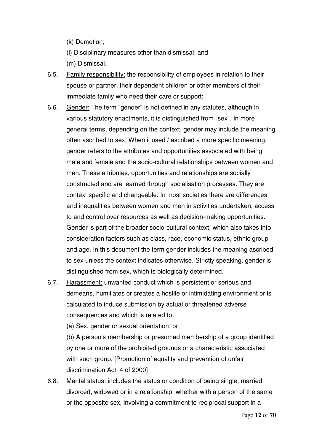(k) Demotion;

(l) Disciplinary measures other than dismissal; and

(m) Dismissal.

- 6.5. Family responsibility: the responsibility of employees in relation to their spouse or partner, their dependent children or other members of their immediate family who need their care or support;
- 6.6. Gender: The term "gender" is not defined in any statutes, although in various statutory enactments, it is distinguished from "sex". In more general terms, depending on the context, gender may include the meaning often ascribed to sex. When it used / ascribed a more specific meaning, gender refers to the attributes and opportunities associated with being male and female and the socio-cultural relationships between women and men. These attributes, opportunities and relationships are socially constructed and are learned through socialisation processes. They are context specific and changeable. In most societies there are differences and inequalities between women and men in activities undertaken, access to and control over resources as well as decision-making opportunities. Gender is part of the broader socio-cultural context, which also takes into consideration factors such as class, race, economic status, ethnic group and age. In this document the term gender includes the meaning ascribed to sex unless the context indicates otherwise. Strictly speaking, gender is distinguished from sex, which is biologically determined.
- 6.7. Harassment: unwanted conduct which is persistent or serious and demeans, humiliates or creates a hostile or intimidating environment or is calculated to induce submission by actual or threatened adverse consequences and which is related to:

(a) Sex, gender or sexual orientation; or

(b) A person's membership or presumed membership of a group identified by one or more of the prohibited grounds or a characteristic associated with such group. [Promotion of equality and prevention of unfair discrimination Act, 4 of 2000]

6.8. Marital status: includes the status or condition of being single, married, divorced, widowed or in a relationship, whether with a person of the same or the opposite sex, involving a commitment to reciprocal support in a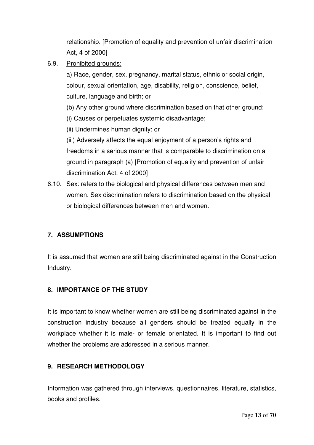relationship. [Promotion of equality and prevention of unfair discrimination Act, 4 of 2000]

6.9. Prohibited grounds:

a) Race, gender, sex, pregnancy, marital status, ethnic or social origin, colour, sexual orientation, age, disability, religion, conscience, belief, culture, language and birth; or

- (b) Any other ground where discrimination based on that other ground:
- (i) Causes or perpetuates systemic disadvantage;
- (ii) Undermines human dignity; or

(iii) Adversely affects the equal enjoyment of a person's rights and freedoms in a serious manner that is comparable to discrimination on a ground in paragraph (a) [Promotion of equality and prevention of unfair discrimination Act, 4 of 2000]

6.10. Sex: refers to the biological and physical differences between men and women. Sex discrimination refers to discrimination based on the physical or biological differences between men and women.

#### **7. ASSUMPTIONS**

It is assumed that women are still being discriminated against in the Construction Industry.

#### **8. IMPORTANCE OF THE STUDY**

It is important to know whether women are still being discriminated against in the construction industry because all genders should be treated equally in the workplace whether it is male- or female orientated. It is important to find out whether the problems are addressed in a serious manner.

#### **9. RESEARCH METHODOLOGY**

Information was gathered through interviews, questionnaires, literature, statistics, books and profiles.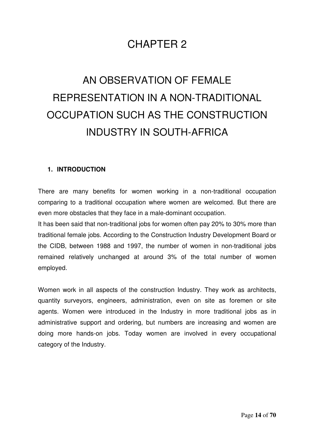## CHAPTER 2

## AN OBSERVATION OF FEMALE REPRESENTATION IN A NON-TRADITIONAL OCCUPATION SUCH AS THE CONSTRUCTION INDUSTRY IN SOUTH-AFRICA

#### **1. INTRODUCTION**

There are many benefits for women working in a non-traditional occupation comparing to a traditional occupation where women are welcomed. But there are even more obstacles that they face in a male-dominant occupation.

It has been said that non-traditional jobs for women often pay 20% to 30% more than traditional female jobs. According to the Construction Industry Development Board or the CIDB, between 1988 and 1997, the number of women in non-traditional jobs remained relatively unchanged at around 3% of the total number of women employed.

Women work in all aspects of the construction Industry. They work as architects, quantity surveyors, engineers, administration, even on site as foremen or site agents. Women were introduced in the Industry in more traditional jobs as in administrative support and ordering, but numbers are increasing and women are doing more hands-on jobs. Today women are involved in every occupational category of the Industry.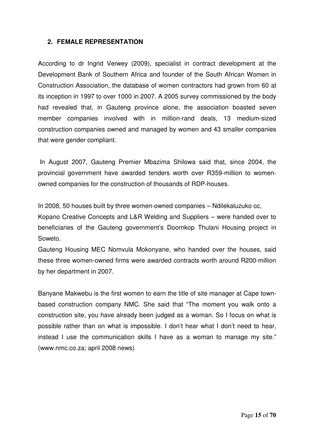#### **2. FEMALE REPRESENTATION**

According to dr Ingrid Verwey (2009), specialist in contract development at the Development Bank of Southern Africa and founder of the South African Women in Construction Association, the database of women contractors had grown from 60 at its inception in 1997 to over 1000 in 2007. A 2005 survey commissioned by the body had revealed that, in Gauteng province alone, the association boasted seven member companies involved with in million-rand deals, 13 medium-sized construction companies owned and managed by women and 43 smaller companies that were gender compliant.

In August 2007, Gauteng Premier Mbazima Shilowa said that, since 2004, the provincial government have awarded tenders worth over R359-million to womenowned companies for the construction of thousands of RDP-houses.

In 2008, 50 houses built by three women-owned companies – Ndilekaluzuko cc,

Kopano Creative Concepts and L&R Welding and Suppliers – were handed over to beneficiaries of the Gauteng government's Doornkop Thulani Housing project in Soweto.

Gauteng Housing MEC Nomvula Mokonyane, who handed over the houses, said these three women-owned firms were awarded contracts worth around R200-million by her department in 2007.

Banyane Makwebu is the first women to earn the title of site manager at Cape townbased construction company NMC. She said that "The moment you walk onto a construction site, you have already been judged as a woman. So I focus on what is possible rather than on what is impossible. I don't hear what I don't need to hear, instead I use the communication skills I have as a woman to manage my site." (www.nmc.co.za; april 2008 news)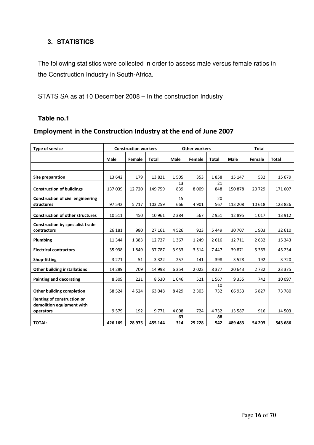#### **3. STATISTICS**

The following statistics were collected in order to assess male versus female ratios in the Construction Industry in South-Africa.

STATS SA as at 10 December 2008 – In the construction Industry

#### **Table no.1**

#### Employment in the Construction Industry at the end of June 2007

| <b>Type of service</b>                                  |                 | <b>Construction workers</b> |                 | <b>Other workers</b> |                | <b>Total</b>      |                     |               |                   |
|---------------------------------------------------------|-----------------|-----------------------------|-----------------|----------------------|----------------|-------------------|---------------------|---------------|-------------------|
|                                                         | <b>Male</b>     | Female                      | <b>Total</b>    | Male                 | Female         | <b>Total</b>      | Male                | Female        | <b>Total</b>      |
|                                                         |                 |                             |                 |                      |                |                   |                     |               |                   |
| Site preparation                                        | 13 642          | 179                         | 13821           | 1505                 | 353            | 1858              | 15 147              | 532           | 15 6 79           |
| <b>Construction of buildings</b>                        | 137 039         | 12720                       | 149 759         | 13<br>839            | 8 0 0 9        | 21<br>848         | 150878              | 20729         | 171 607           |
| <b>Construction of civil engineering</b><br>structures  | 97 542          | 5717                        | 103 259         | 15<br>666            | 4 9 0 1        | 20<br>567         | 113 208             | 10 6 18       | 123 826           |
| <b>Construction of other structures</b>                 | 10511           | 450                         | 10 961          | 2 3 8 4              | 567            | 2951              | 12 8 95             | 1017          | 13 912            |
| <b>Construction by specialist trade</b><br>contractors  | 26 181          | 980                         | 27 161          | 4526                 | 923            | 5449              | 30 70 7             | 1903          | 32 610            |
| Plumbing                                                | 11 3 4 4        | 1 3 8 3                     | 12727           | 1 3 6 7              | 1 2 4 9        | 2616              | 12 711              | 2632          | 15 3 43           |
| <b>Electrical contractors</b>                           | 35 938          | 1849                        | 37787           | 3933                 | 3 5 1 4        | 7447              | 39 871              | 5 3 6 3       | 45 2 34           |
| Shop-fitting                                            | 3 2 7 1         | 51                          | 3 3 2 2         | 257                  | 141            | 398               | 3528                | 192           | 3720              |
| <b>Other building installations</b>                     | 14 2 8 9        | 709                         | 14 9 98         | 6 3 5 4              | 2023           | 8377              | 20 643              | 2732          | 23 3 7 5          |
| <b>Painting and decorating</b>                          | 8 3 0 9         | 221                         | 8530            | 1046                 | 521            | 1567              | 9 3 5 5             | 742           | 10 0 97           |
| <b>Other building completion</b>                        | 58 524          | 4524                        | 63 048          | 8429                 | 2 3 0 3        | 10<br>732         | 66 953              | 6827          | 73 780            |
| Renting of construction or<br>demolition equipment with |                 |                             |                 |                      |                |                   |                     |               |                   |
| operators<br><b>TOTAL:</b>                              | 9579<br>426 169 | 192<br>28 975               | 9771<br>455 144 | 4 0 0 8<br>63<br>314 | 724<br>25 2 28 | 4732<br>88<br>542 | 13 5 8 7<br>489 483 | 916<br>54 203 | 14 503<br>543 686 |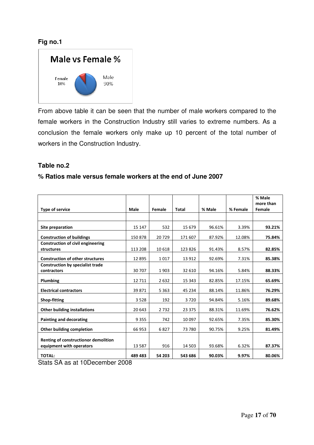#### **Fig no.1**



From above table it can be seen that the number of male workers compared to the female workers in the Construction Industry still varies to extreme numbers. As a conclusion the female workers only make up 10 percent of the total number of workers in the Construction Industry.

#### **Table no.2**

#### **% Ratios male versus female workers at the end of June 2007**

|                                                                                        |          |         |         |        |          | % Male<br>more than |
|----------------------------------------------------------------------------------------|----------|---------|---------|--------|----------|---------------------|
| Type of service                                                                        | Male     | Female  | Total   | % Male | % Female | Female              |
|                                                                                        |          |         |         |        |          |                     |
| Site preparation                                                                       | 15 147   | 532     | 15 679  | 96.61% | 3.39%    | 93.21%              |
| <b>Construction of buildings</b>                                                       | 150 878  | 20729   | 171 607 | 87.92% | 12.08%   | 75.84%              |
| <b>Construction of civil engineering</b><br>structures                                 | 113 208  | 10618   | 123 826 | 91.43% | 8.57%    | 82.85%              |
| <b>Construction of other structures</b>                                                | 12 8 95  | 1017    | 13 9 12 | 92.69% | 7.31%    | 85.38%              |
| <b>Construction by specialist trade</b><br>contractors                                 | 30 70 7  | 1903    | 32 610  | 94.16% | 5.84%    | 88.33%              |
| Plumbing                                                                               | 12 7 11  | 2632    | 15 3 43 | 82.85% | 17.15%   | 65.69%              |
| <b>Electrical contractors</b>                                                          | 39 871   | 5 3 6 3 | 45 234  | 88.14% | 11.86%   | 76.29%              |
| <b>Shop-fitting</b>                                                                    | 3528     | 192     | 3720    | 94.84% | 5.16%    | 89.68%              |
| <b>Other building installations</b>                                                    | 20 643   | 2732    | 23 375  | 88.31% | 11.69%   | 76.62%              |
| Painting and decorating                                                                | 9 3 5 5  | 742     | 10 097  | 92.65% | 7.35%    | 85.30%              |
| Other building completion                                                              | 66 953   | 6827    | 73 780  | 90.75% | 9.25%    | 81.49%              |
| Renting of constructionor demolition                                                   |          |         |         |        |          |                     |
| equipment with operators                                                               | 13 5 8 7 | 916     | 14 503  | 93.68% | 6.32%    | 87.37%              |
| <b>TOTAL:</b><br>$\overline{\phantom{a}}$<br>$\mathbf{r}$<br>$\cdots$<br>$\sim$ $\sim$ | 489 483  | 54 203  | 543 686 | 90.03% | 9.97%    | 80.06%              |

Stats SA as at 10December 2008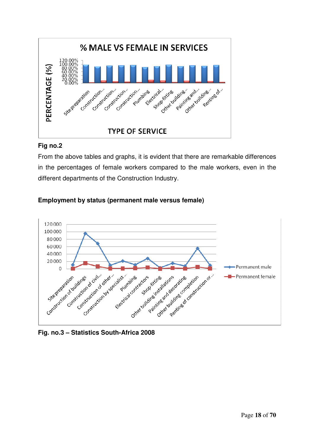

#### **Fig no.2**

From the above tables and graphs, it is evident that there are remarkable differences in the percentages of female workers compared to the male workers, even in the different departments of the Construction Industry.



#### **Employment by status (permanent male versus female)**

**Fig. no.3 – Statistics South-Africa 2008**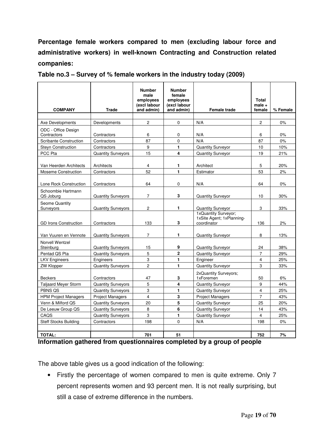**Percentage female workers compared to men (excluding labour force and administrative workers) in well-known Contracting and Construction related companies:**

|                                    |                           | <b>Number</b><br>male<br>employees<br>(excl labour | <b>Number</b><br>female<br>employees<br>(excl labour |                                                                  | <b>Total</b><br>$male +$ |          |
|------------------------------------|---------------------------|----------------------------------------------------|------------------------------------------------------|------------------------------------------------------------------|--------------------------|----------|
| <b>COMPANY</b>                     | <b>Trade</b>              | and admin)                                         | and admin)                                           | <b>Female trade</b>                                              | female                   | % Female |
| Axe Developments                   | Developments              | $\mathbf{2}$                                       | $\mathbf 0$                                          | N/A                                                              | $\overline{2}$           | 0%       |
| ODC - Office Design<br>Contractors | Contractors               | 6                                                  | 0                                                    | N/A                                                              | 6                        | $0\%$    |
| <b>Scribante Construction</b>      | Contractors               | 87                                                 | $\Omega$                                             | N/A                                                              | 87                       | 0%       |
| <b>Steyn Construction</b>          | Contractors               | 9                                                  | $\mathbf{1}$                                         | <b>Quantity Surveyor</b>                                         | 10                       | 10%      |
| PCC Pta                            | <b>Quantity Surveyors</b> | 15                                                 | 4                                                    | <b>Quantity Surveyor</b>                                         | 19                       | 21%      |
| Van Heerden Architects             | Architects                | 4                                                  | 1                                                    | Architect                                                        | 5                        | 20%      |
| <b>Moseme Construction</b>         | Contractors               | 52                                                 | 1                                                    | Estimator                                                        | 53                       | 2%       |
| Lone Rock Construction             | Contractors               | 64                                                 | 0                                                    | N/A                                                              | 64                       | $0\%$    |
| Schoombie Hartmann<br>QS Joburg    | <b>Quantity Surveyors</b> | $\overline{7}$                                     | 3                                                    | <b>Quantity Surveyor</b>                                         | 10                       | 30%      |
| <b>Seome Quantity</b><br>Surveyors | <b>Quantity Surveyors</b> | $\overline{c}$                                     | $\mathbf{1}$                                         | <b>Quantity Surveyor</b>                                         | 3                        | 33%      |
| <b>GD Irons Construction</b>       | Contractors               | 133                                                | 3                                                    | 1xQuantity Surveyor;<br>1xSite Agent: 1xPlanning-<br>coordinator | 136                      | 2%       |
| Van Vuuren en Vennote              | <b>Quantity Surveyors</b> | $\overline{7}$                                     | $\mathbf{1}$                                         | <b>Quantity Surveyor</b>                                         | 8                        | 13%      |
| Norvell Wentzel<br>Steinburg       | <b>Quantity Surveyors</b> | 15                                                 | 9                                                    | <b>Quantity Surveyor</b>                                         | 24                       | 38%      |
| Pentad QS Pta                      | <b>Quantity Surveyors</b> | 5                                                  | $\mathbf{2}$                                         | <b>Quantity Surveyor</b>                                         | $\overline{7}$           | 29%      |
| <b>LKV Engineers</b>               | Engineers                 | 3                                                  | $\mathbf{1}$                                         | Engineer                                                         | 4                        | 25%      |
| <b>ZW Klopper</b>                  | <b>Quantity Surveyors</b> | $\overline{2}$                                     | $\mathbf{1}$                                         | <b>Quantity Surveyor</b>                                         | 3                        | 33%      |
| <b>Beckers</b>                     | Contractors               | 47                                                 | 3                                                    | 2xQuantity Surveyors;<br>1xForemen                               | 50                       | 6%       |
| <b>Taliaard Meyer Storm</b>        | <b>Quantity Surveyors</b> | 5                                                  | 4                                                    | <b>Quantity Surveyor</b>                                         | 9                        | 44%      |
| PBNS QS                            | <b>Quantity Surveyors</b> | 3                                                  | $\mathbf{1}$                                         | <b>Quantity Surveyor</b>                                         | $\overline{4}$           | 25%      |
| <b>HPM Project Managers</b>        | <b>Project Managers</b>   | $\overline{4}$                                     | 3                                                    | <b>Project Managers</b>                                          | $\overline{7}$           | 43%      |
| Venn & Milford QS                  | <b>Quantity Surveyors</b> | 20                                                 | 5                                                    | <b>Quantity Surveyor</b>                                         | 25                       | 20%      |
| De Leeuw Group QS                  | <b>Quantity Surveyors</b> | 8                                                  | 6                                                    | <b>Quantity Surveyor</b>                                         | 14                       | 43%      |
| CAQS                               | <b>Quantity Surveyors</b> | 3                                                  | 1                                                    | <b>Quantity Surveyor</b>                                         | $\overline{\mathbf{4}}$  | 25%      |
| <b>Steff Stocks Building</b>       | Contractors               | 198                                                | 0                                                    | N/A                                                              | 198                      | 0%       |
|                                    |                           |                                                    |                                                      |                                                                  |                          |          |
| <b>TOTAL:</b>                      |                           | 701                                                | 51                                                   |                                                                  | 752                      | 7%       |

**Table no.3 – Survey of % female workers in the industry today (2009)**

**Information gathered from questionnaires completed by a group of people**

The above table gives us a good indication of the following:

• Firstly the percentage of women compared to men is quite extreme. Only 7 percent represents women and 93 percent men. It is not really surprising, but still a case of extreme difference in the numbers.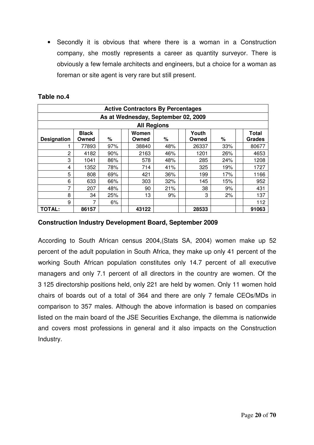• Secondly it is obvious that where there is a woman in a Construction company, she mostly represents a career as quantity surveyor. There is obviously a few female architects and engineers, but a choice for a woman as foreman or site agent is very rare but still present.

| <b>Active Contractors By Percentages</b> |                       |     |  |                |     |  |                |     |  |                               |
|------------------------------------------|-----------------------|-----|--|----------------|-----|--|----------------|-----|--|-------------------------------|
| As at Wednesday, September 02, 2009      |                       |     |  |                |     |  |                |     |  |                               |
| <b>All Regions</b>                       |                       |     |  |                |     |  |                |     |  |                               |
| <b>Designation</b>                       | <b>Black</b><br>Owned | %   |  | Women<br>Owned | ℅   |  | Youth<br>Owned | %   |  | <b>Total</b><br><b>Grades</b> |
|                                          | 77893                 | 97% |  | 38840          | 48% |  | 26337          | 33% |  | 80677                         |
| 2                                        | 4182                  | 90% |  | 2163           | 46% |  | 1201           | 26% |  | 4653                          |
| 3                                        | 1041                  | 86% |  | 578            | 48% |  | 285            | 24% |  | 1208                          |
| 4                                        | 1352                  | 78% |  | 714            | 41% |  | 325            | 19% |  | 1727                          |
| 5                                        | 808                   | 69% |  | 421            | 36% |  | 199            | 17% |  | 1166                          |
| 6                                        | 633                   | 66% |  | 303            | 32% |  | 145            | 15% |  | 952                           |
| 7                                        | 207                   | 48% |  | 90             | 21% |  | 38             | 9%  |  | 431                           |
| 8                                        | 34                    | 25% |  | 13             | 9%  |  | 3              | 2%  |  | 137                           |
| 9                                        | 7                     | 6%  |  |                |     |  |                |     |  | 112                           |
| <b>TOTAL:</b>                            | 86157                 |     |  | 43122          |     |  | 28533          |     |  | 91063                         |

#### **Table no.4**

#### **Construction Industry Development Board, September 2009**

According to South African census 2004,(Stats SA, 2004) women make up 52 percent of the adult population in South Africa, they make up only 41 percent of the working South African population constitutes only 14.7 percent of all executive managers and only 7.1 percent of all directors in the country are women. Of the 3 125 directorship positions held, only 221 are held by women. Only 11 women hold chairs of boards out of a total of 364 and there are only 7 female CEOs/MDs in comparison to 357 males. Although the above information is based on companies listed on the main board of the JSE Securities Exchange, the dilemma is nationwide and covers most professions in general and it also impacts on the Construction Industry.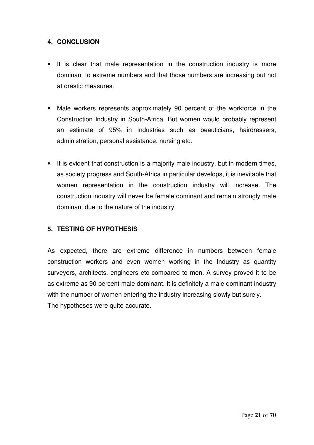#### **4. CONCLUSION**

- It is clear that male representation in the construction industry is more dominant to extreme numbers and that those numbers are increasing but not at drastic measures.
- Male workers represents approximately 90 percent of the workforce in the Construction Industry in South-Africa. But women would probably represent an estimate of 95% in Industries such as beauticians, hairdressers, administration, personal assistance, nursing etc.
- It is evident that construction is a majority male industry, but in modern times, as society progress and South-Africa in particular develops, it is inevitable that women representation in the construction industry will increase. The construction industry will never be female dominant and remain strongly male dominant due to the nature of the industry.

#### **5. TESTING OF HYPOTHESIS**

As expected, there are extreme difference in numbers between female construction workers and even women working in the Industry as quantity surveyors, architects, engineers etc compared to men. A survey proved it to be as extreme as 90 percent male dominant. It is definitely a male dominant industry with the number of women entering the industry increasing slowly but surely. The hypotheses were quite accurate.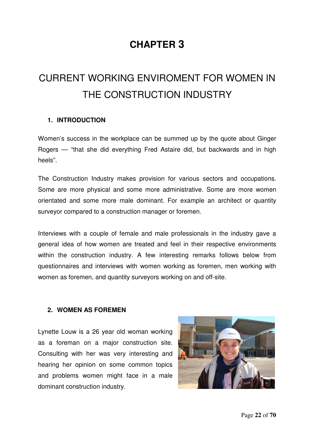## **CHAPTER 3**

## CURRENT WORKING ENVIROMENT FOR WOMEN IN THE CONSTRUCTION INDUSTRY

#### **1. INTRODUCTION**

Women's success in the workplace can be summed up by the quote about Ginger Rogers — "that she did everything Fred Astaire did, but backwards and in high heels".

The Construction Industry makes provision for various sectors and occupations. Some are more physical and some more administrative. Some are more women orientated and some more male dominant. For example an architect or quantity surveyor compared to a construction manager or foremen.

Interviews with a couple of female and male professionals in the industry gave a general idea of how women are treated and feel in their respective environments within the construction industry. A few interesting remarks follows below from questionnaires and interviews with women working as foremen, men working with women as foremen, and quantity surveyors working on and off-site.

#### **2. WOMEN AS FOREMEN**

Lynette Louw is a 26 year old woman working as a foreman on a major construction site. Consulting with her was very interesting and hearing her opinion on some common topics and problems women might face in a male dominant construction industry.

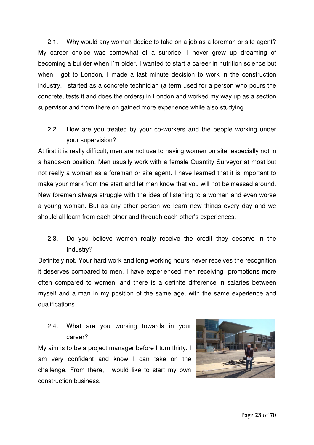2.1. Why would any woman decide to take on a job as a foreman or site agent? My career choice was somewhat of a surprise, I never grew up dreaming of becoming a builder when I'm older. I wanted to start a career in nutrition science but when I got to London, I made a last minute decision to work in the construction industry. I started as a concrete technician (a term used for a person who pours the concrete, tests it and does the orders) in London and worked my way up as a section supervisor and from there on gained more experience while also studying.

2.2. How are you treated by your co-workers and the people working under your supervision?

At first it is really difficult; men are not use to having women on site, especially not in a hands-on position. Men usually work with a female Quantity Surveyor at most but not really a woman as a foreman or site agent. I have learned that it is important to make your mark from the start and let men know that you will not be messed around. New foremen always struggle with the idea of listening to a woman and even worse a young woman. But as any other person we learn new things every day and we should all learn from each other and through each other's experiences.

2.3. Do you believe women really receive the credit they deserve in the Industry?

Definitely not. Your hard work and long working hours never receives the recognition it deserves compared to men. I have experienced men receiving promotions more often compared to women, and there is a definite difference in salaries between myself and a man in my position of the same age, with the same experience and qualifications.

2.4. What are you working towards in your career?

My aim is to be a project manager before I turn thirty. I am very confident and know I can take on the challenge. From there, I would like to start my own construction business.

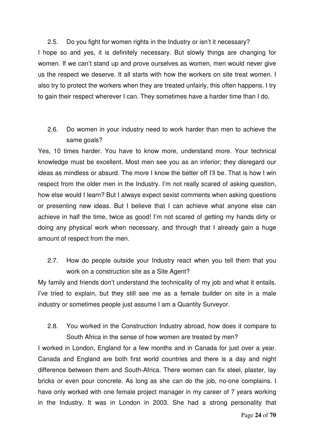2.5. Do you fight for women rights in the Industry or isn't it necessary? I hope so and yes, it is definitely necessary. But slowly things are changing for women. If we can't stand up and prove ourselves as women, men would never give us the respect we deserve. It all starts with how the workers on site treat women. I also try to protect the workers when they are treated unfairly, this often happens. I try to gain their respect wherever I can. They sometimes have a harder time than I do.

2.6. Do women in your industry need to work harder than men to achieve the same goals?

Yes, 10 times harder. You have to know more, understand more. Your technical knowledge must be excellent. Most men see you as an inferior; they disregard our ideas as mindless or absurd. The more I know the better off I'll be. That is how I win respect from the older men in the Industry. I'm not really scared of asking question, how else would I learn? But I always expect sexist comments when asking questions or presenting new ideas. But I believe that I can achieve what anyone else can achieve in half the time, twice as good! I'm not scared of getting my hands dirty or doing any physical work when necessary, and through that I already gain a huge amount of respect from the men.

2.7. How do people outside your Industry react when you tell them that you work on a construction site as a Site Agent?

My family and friends don't understand the technicality of my job and what it entails. I've tried to explain, but they still see me as a female builder on site in a male industry or sometimes people just assume I am a Quantity Surveyor.

2.8. You worked in the Construction Industry abroad, how does it compare to South Africa in the sense of how women are treated by men?

I worked in London, England for a few months and in Canada for just over a year. Canada and England are both first world countries and there is a day and night difference between them and South-Africa. There women can fix steel, plaster, lay bricks or even pour concrete. As long as she can do the job, no-one complains. I have only worked with one female project manager in my career of 7 years working in the Industry. It was in London in 2003. She had a strong personality that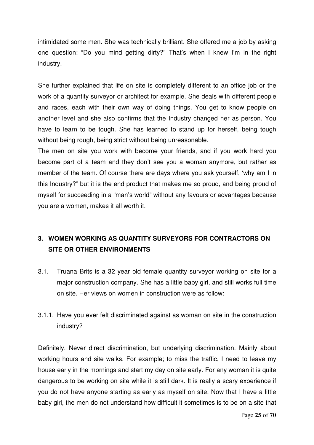intimidated some men. She was technically brilliant. She offered me a job by asking one question: "Do you mind getting dirty?" That's when I knew I'm in the right industry.

She further explained that life on site is completely different to an office job or the work of a quantity surveyor or architect for example. She deals with different people and races, each with their own way of doing things. You get to know people on another level and she also confirms that the Industry changed her as person. You have to learn to be tough. She has learned to stand up for herself, being tough without being rough, being strict without being unreasonable.

The men on site you work with become your friends, and if you work hard you become part of a team and they don't see you a woman anymore, but rather as member of the team. Of course there are days where you ask yourself, 'why am I in this Industry?" but it is the end product that makes me so proud, and being proud of myself for succeeding in a "man's world" without any favours or advantages because you are a women, makes it all worth it.

#### **3. WOMEN WORKING AS QUANTITY SURVEYORS FOR CONTRACTORS ON SITE OR OTHER ENVIRONMENTS**

- 3.1. Truana Brits is a 32 year old female quantity surveyor working on site for a major construction company. She has a little baby girl, and still works full time on site. Her views on women in construction were as follow:
- 3.1.1. Have you ever felt discriminated against as woman on site in the construction industry?

Definitely. Never direct discrimination, but underlying discrimination. Mainly about working hours and site walks. For example; to miss the traffic, I need to leave my house early in the mornings and start my day on site early. For any woman it is quite dangerous to be working on site while it is still dark. It is really a scary experience if you do not have anyone starting as early as myself on site. Now that I have a little baby girl, the men do not understand how difficult it sometimes is to be on a site that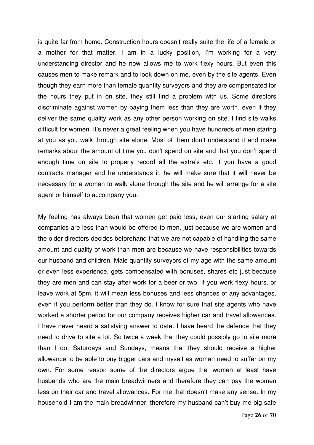is quite far from home. Construction hours doesn't really suite the life of a female or a mother for that matter. I am in a lucky position, I'm working for a very understanding director and he now allows me to work flexy hours. But even this causes men to make remark and to look down on me, even by the site agents. Even though they earn more than female quantity surveyors and they are compensated for the hours they put in on site, they still find a problem with us. Some directors discriminate against women by paying them less than they are worth, even if they deliver the same quality work as any other person working on site. I find site walks difficult for women. It's never a great feeling when you have hundreds of men staring at you as you walk through site alone. Most of them don't understand it and make remarks about the amount of time you don't spend on site and that you don't spend enough time on site to properly record all the extra's etc. If you have a good contracts manager and he understands it, he will make sure that it will never be necessary for a woman to walk alone through the site and he will arrange for a site agent or himself to accompany you.

My feeling has always been that women get paid less, even our starting salary at companies are less than would be offered to men, just because we are women and the older directors decides beforehand that we are not capable of handling the same amount and quality of work than men are because we have responsibilities towards our husband and children. Male quantity surveyors of my age with the same amount or even less experience, gets compensated with bonuses, shares etc just because they are men and can stay after work for a beer or two. If you work flexy hours, or leave work at 5pm, it will mean less bonuses and less chances of any advantages, even if you perform better than they do. I know for sure that site agents who have worked a shorter period for our company receives higher car and travel allowances. I have never heard a satisfying answer to date. I have heard the defence that they need to drive to site a lot. So twice a week that they could possibly go to site more than I do, Saturdays and Sundays, means that they should receive a higher allowance to be able to buy bigger cars and myself as woman need to suffer on my own. For some reason some of the directors argue that women at least have husbands who are the main breadwinners and therefore they can pay the women less on their car and travel allowances. For me that doesn't make any sense. In my household I am the main breadwinner, therefore my husband can't buy me big safe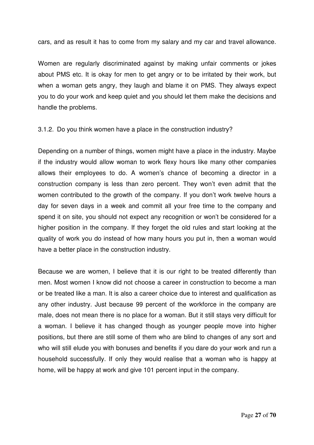cars, and as result it has to come from my salary and my car and travel allowance.

Women are regularly discriminated against by making unfair comments or jokes about PMS etc. It is okay for men to get angry or to be irritated by their work, but when a woman gets angry, they laugh and blame it on PMS. They always expect you to do your work and keep quiet and you should let them make the decisions and handle the problems.

3.1.2. Do you think women have a place in the construction industry?

Depending on a number of things, women might have a place in the industry. Maybe if the industry would allow woman to work flexy hours like many other companies allows their employees to do. A women's chance of becoming a director in a construction company is less than zero percent. They won't even admit that the women contributed to the growth of the company. If you don't work twelve hours a day for seven days in a week and commit all your free time to the company and spend it on site, you should not expect any recognition or won't be considered for a higher position in the company. If they forget the old rules and start looking at the quality of work you do instead of how many hours you put in, then a woman would have a better place in the construction industry.

Because we are women, I believe that it is our right to be treated differently than men. Most women I know did not choose a career in construction to become a man or be treated like a man. It is also a career choice due to interest and qualification as any other industry. Just because 99 percent of the workforce in the company are male, does not mean there is no place for a woman. But it still stays very difficult for a woman. I believe it has changed though as younger people move into higher positions, but there are still some of them who are blind to changes of any sort and who will still elude you with bonuses and benefits if you dare do your work and run a household successfully. If only they would realise that a woman who is happy at home, will be happy at work and give 101 percent input in the company.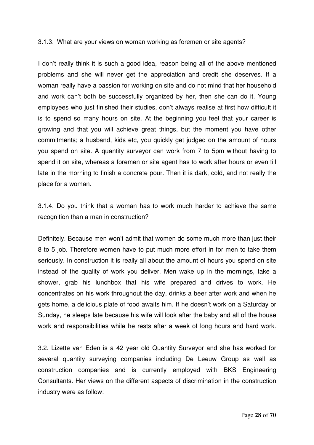#### 3.1.3. What are your views on woman working as foremen or site agents?

I don't really think it is such a good idea, reason being all of the above mentioned problems and she will never get the appreciation and credit she deserves. If a woman really have a passion for working on site and do not mind that her household and work can't both be successfully organized by her, then she can do it. Young employees who just finished their studies, don't always realise at first how difficult it is to spend so many hours on site. At the beginning you feel that your career is growing and that you will achieve great things, but the moment you have other commitments; a husband, kids etc, you quickly get judged on the amount of hours you spend on site. A quantity surveyor can work from 7 to 5pm without having to spend it on site, whereas a foremen or site agent has to work after hours or even till late in the morning to finish a concrete pour. Then it is dark, cold, and not really the place for a woman.

3.1.4. Do you think that a woman has to work much harder to achieve the same recognition than a man in construction?

Definitely. Because men won't admit that women do some much more than just their 8 to 5 job. Therefore women have to put much more effort in for men to take them seriously. In construction it is really all about the amount of hours you spend on site instead of the quality of work you deliver. Men wake up in the mornings, take a shower, grab his lunchbox that his wife prepared and drives to work. He concentrates on his work throughout the day, drinks a beer after work and when he gets home, a delicious plate of food awaits him. If he doesn't work on a Saturday or Sunday, he sleeps late because his wife will look after the baby and all of the house work and responsibilities while he rests after a week of long hours and hard work.

3.2. Lizette van Eden is a 42 year old Quantity Surveyor and she has worked for several quantity surveying companies including De Leeuw Group as well as construction companies and is currently employed with BKS Engineering Consultants. Her views on the different aspects of discrimination in the construction industry were as follow: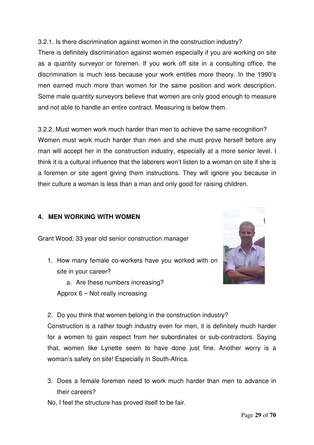#### 3.2.1. Is there discrimination against women in the construction industry?

There is definitely discrimination against women especially if you are working on site as a quantity surveyor or foremen. If you work off site in a consulting office, the discrimination is much less because your work entitles more theory. In the 1990's men earned much more than women for the same position and work description. Some male quantity surveyors believe that women are only good enough to measure and not able to handle an entire contract. Measuring is below them.

3.2.2. Must women work much harder than men to achieve the same recognition? Women must work much harder than men and she must prove herself before any man will accept her in the construction industry, especially at a more senior level. I think it is a cultural influence that the laborers won't listen to a woman on site if she is a foremen or site agent giving them instructions. They will ignore you because in their culture a woman is less than a man and only good for raising children.

#### **4. MEN WORKING WITH WOMEN**

Grant Wood, 33 year old senior construction manager

- 1. How many female co-workers have you worked with on site in your career?
	- a. Are these numbers increasing?

Approx 6 – Not really increasing



2. Do you think that women belong in the construction industry?

Construction is a rather tough industry even for men, it is definitely much harder for a women to gain respect from her subordinates or sub-contractors. Saying that, women like Lynette seem to have done just fine. Another worry is a woman's safety on site! Especially in South-Africa.

- 3. Does a female foremen need to work much harder than men to advance in their careers?
- No, I feel the structure has proved itself to be fair.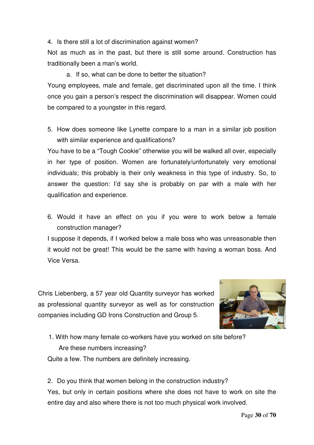4. Is there still a lot of discrimination against women?

Not as much as in the past, but there is still some around. Construction has traditionally been a man's world.

a. If so, what can be done to better the situation?

Young employees, male and female, get discriminated upon all the time. I think once you gain a person's respect the discrimination will disappear. Women could be compared to a youngster in this regard.

5. How does someone like Lynette compare to a man in a similar job position with similar experience and qualifications?

You have to be a "Tough Cookie" otherwise you will be walked all over, especially in her type of position. Women are fortunately/unfortunately very emotional individuals; this probably is their only weakness in this type of industry. So, to answer the question: I'd say she is probably on par with a male with her qualification and experience.

6. Would it have an effect on you if you were to work below a female construction manager?

I suppose it depends, if I worked below a male boss who was unreasonable then it would not be great! This would be the same with having a woman boss. And Vice Versa.

Chris Liebenberg, a 57 year old Quantity surveyor has worked as professional quantity surveyor as well as for construction companies including GD Irons Construction and Group 5.



1. With how many female co-workers have you worked on site before? Are these numbers increasing? Quite a few. The numbers are definitely increasing.

2. Do you think that women belong in the construction industry? Yes, but only in certain positions where she does not have to work on site the entire day and also where there is not too much physical work involved.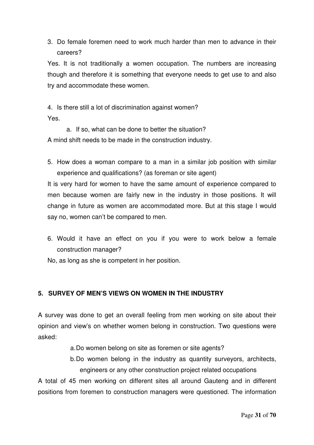3. Do female foremen need to work much harder than men to advance in their careers?

Yes. It is not traditionally a women occupation. The numbers are increasing though and therefore it is something that everyone needs to get use to and also try and accommodate these women.

4. Is there still a lot of discrimination against women? Yes.

a. If so, what can be done to better the situation? A mind shift needs to be made in the construction industry.

5. How does a woman compare to a man in a similar job position with similar experience and qualifications? (as foreman or site agent)

It is very hard for women to have the same amount of experience compared to men because women are fairly new in the industry in those positions. It will change in future as women are accommodated more. But at this stage I would say no, women can't be compared to men.

- 6. Would it have an effect on you if you were to work below a female construction manager?
- No, as long as she is competent in her position.

#### **5. SURVEY OF MEN'S VIEWS ON WOMEN IN THE INDUSTRY**

A survey was done to get an overall feeling from men working on site about their opinion and view's on whether women belong in construction. Two questions were asked:

- a.Do women belong on site as foremen or site agents?
- b.Do women belong in the industry as quantity surveyors, architects, engineers or any other construction project related occupations

A total of 45 men working on different sites all around Gauteng and in different positions from foremen to construction managers were questioned. The information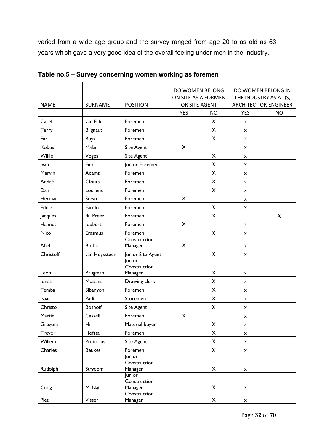varied from a wide age group and the survey ranged from age 20 to as old as 63 years which gave a very good idea of the overall feeling under men in the Industry.

| <b>NAME</b> | <b>SURNAME</b> | <b>POSITION</b>                             | DO WOMEN BELONG<br>ON SITE AS A FORMEN<br>OR SITE AGENT |                           | DO WOMEN BELONG IN<br>THE INDUSTRY AS A QS,<br><b>ARCHITECT OR ENGINEER</b> |           |
|-------------|----------------|---------------------------------------------|---------------------------------------------------------|---------------------------|-----------------------------------------------------------------------------|-----------|
|             |                |                                             | <b>YES</b>                                              | <b>NO</b>                 | <b>YES</b>                                                                  | <b>NO</b> |
| Carel       | van Eck        | Foremen                                     |                                                         | X                         | x                                                                           |           |
| Terry       | Blignaut       | Foremen                                     |                                                         | X                         | X                                                                           |           |
| Earl        | <b>Buys</b>    | Foremen                                     |                                                         | $\pmb{\mathsf{X}}$        | X                                                                           |           |
| Kobus       | Malan          | Site Agent                                  | X                                                       |                           | x                                                                           |           |
| Willie      | Voges          | <b>Site Agent</b>                           |                                                         | $\times$                  | x                                                                           |           |
| Ivan        | Fick           | Junior Foremen                              |                                                         | X                         | x                                                                           |           |
| Mervin      | Adams          | Foremen                                     |                                                         | X                         | x                                                                           |           |
| André       | Clouts         | Foremen                                     |                                                         | $\pmb{\times}$            | x                                                                           |           |
| Dan         | Lourens        | Foremen                                     |                                                         | $\pmb{\times}$            | x                                                                           |           |
| Herman      | Steyn          | Foremen                                     | $\times$                                                |                           | x                                                                           |           |
| Eddie       | Farelo         | Foremen                                     |                                                         | X                         | x                                                                           |           |
| Jacques     | du Preez       | Foremen                                     |                                                         | X                         |                                                                             | X         |
| Hannes      | Joubert        | Foremen                                     | $\pmb{\times}$                                          |                           | x                                                                           |           |
| Nico        | Erasmus        | Foremen                                     |                                                         | $\pmb{\mathsf{X}}$        | x                                                                           |           |
| Abel        | <b>Botha</b>   | Construction<br>Manager                     | X                                                       |                           | X                                                                           |           |
| Christoff   | van Huyssteen  | Junior Site Agent                           |                                                         | Χ                         | x                                                                           |           |
| Leon        | Brugman        | <b>Junior</b><br>Construction<br>Manager    |                                                         | X                         | x                                                                           |           |
| Jonas       | Mosana         | Drawing clerk                               |                                                         | $\overline{\mathsf{x}}$   | x                                                                           |           |
| Temba       | Sibanyoni      | Foremen                                     |                                                         | $\pmb{\times}$            | x                                                                           |           |
| Isaac       | Padi           | Storemen                                    |                                                         | $\pmb{\times}$            | x                                                                           |           |
| Christo     | <b>Boshoff</b> | Site Agent                                  |                                                         | $\pmb{\times}$            | x                                                                           |           |
| Martin      | Cassell        | Foremen                                     | $\pmb{\times}$                                          |                           | X                                                                           |           |
| Gregory     | Hill           | Material buyer                              |                                                         | X                         | X                                                                           |           |
| Trevor      | Hofsta         | Foremen                                     |                                                         | X                         | $\pmb{\mathsf{x}}$                                                          |           |
| Willem      | Pretorius      | Site Agent                                  |                                                         | Χ                         | X                                                                           |           |
| Charles     | <b>Beukes</b>  | Foremen                                     |                                                         | $\mathsf{X}$              | $\pmb{\mathsf{x}}$                                                          |           |
| Rudolph     | Strydom        | Junior<br>Construction<br>Manager<br>Junior |                                                         | X                         | $\pmb{\mathsf{x}}$                                                          |           |
| Craig       | McNair         | Construction<br>Manager                     |                                                         | Χ                         | X                                                                           |           |
| Piet        | Visser         | Construction<br>Manager                     |                                                         | $\boldsymbol{\mathsf{X}}$ | $\pmb{\mathsf{x}}$                                                          |           |

**Table no.5 – Survey concerning women working as foremen**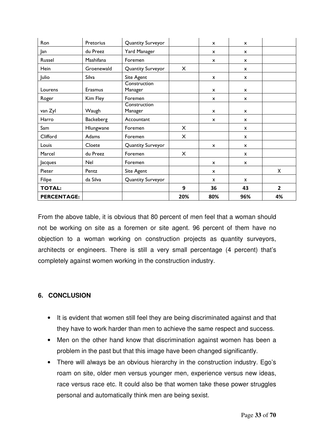| Ron                | Pretorius        | Quantity Surveyor       |          | $\mathsf{x}$              | $\mathsf{x}$              |                |
|--------------------|------------------|-------------------------|----------|---------------------------|---------------------------|----------------|
| Jan                | du Preez         | Yard Manager            |          | $\mathsf{x}$              | $\mathsf{x}$              |                |
| Russel             | Mashifana        | Foremen                 |          | $\mathsf{x}$              | x                         |                |
| Hein               | Groenewald       | Quantity Surveyor       | X        |                           | $\boldsymbol{\mathsf{x}}$ |                |
| Julio              | Silva            | Site Agent              |          | X                         | X                         |                |
| Lourens            | Erasmus          | Construction<br>Manager |          | $\mathsf{x}$              | $\boldsymbol{\mathsf{x}}$ |                |
| Roger              | Kim Fley         | Foremen                 |          | $\mathsf{x}$              | x                         |                |
| van Zyl            | Waugh            | Construction<br>Manager |          | $\mathsf{x}$              | $\boldsymbol{\mathsf{x}}$ |                |
| Harro              | <b>Backeberg</b> | Accountant              |          | $\mathsf{x}$              | x                         |                |
| Sam                | Hlungwane        | Foremen                 | $\times$ |                           | X                         |                |
| Clifford           | Adams            | Foremen                 | X        |                           | X                         |                |
| Louis              | Cloete           | Quantity Surveyor       |          | $\boldsymbol{\mathsf{x}}$ | X                         |                |
| Marcel             | du Preez         | Foremen                 | X        |                           | X                         |                |
| Jacques            | Nel              | Foremen                 |          | $\mathsf{x}$              | $\mathsf{x}$              |                |
| Pieter             | Pentz            | Site Agent              |          | $\mathsf{x}$              |                           | X              |
| Filipe             | da Silva         | Quantity Surveyor       |          | X                         | X                         |                |
| <b>TOTAL:</b>      |                  |                         | 9        | 36                        | 43                        | $\overline{2}$ |
| <b>PERCENTAGE:</b> |                  |                         | 20%      | 80%                       | 96%                       | 4%             |

From the above table, it is obvious that 80 percent of men feel that a woman should not be working on site as a foremen or site agent. 96 percent of them have no objection to a woman working on construction projects as quantity surveyors, architects or engineers. There is still a very small percentage (4 percent) that's completely against women working in the construction industry.

#### **6. CONCLUSION**

- It is evident that women still feel they are being discriminated against and that they have to work harder than men to achieve the same respect and success.
- Men on the other hand know that discrimination against women has been a problem in the past but that this image have been changed significantly.
- There will always be an obvious hierarchy in the construction industry. Ego's roam on site, older men versus younger men, experience versus new ideas, race versus race etc. It could also be that women take these power struggles personal and automatically think men are being sexist.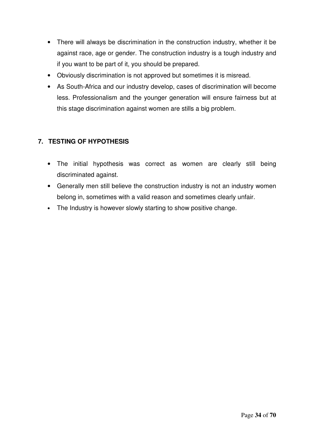- There will always be discrimination in the construction industry, whether it be against race, age or gender. The construction industry is a tough industry and if you want to be part of it, you should be prepared.
- Obviously discrimination is not approved but sometimes it is misread.
- As South-Africa and our industry develop, cases of discrimination will become less. Professionalism and the younger generation will ensure fairness but at this stage discrimination against women are stills a big problem.

#### **7. TESTING OF HYPOTHESIS**

- The initial hypothesis was correct as women are clearly still being discriminated against.
- Generally men still believe the construction industry is not an industry women belong in, sometimes with a valid reason and sometimes clearly unfair.
- The Industry is however slowly starting to show positive change.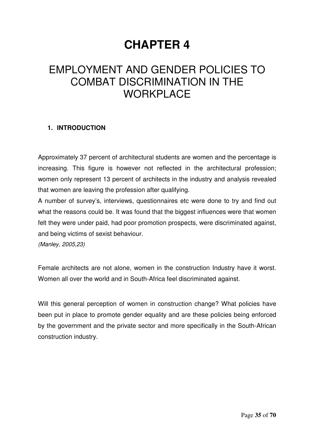## **CHAPTER 4**

## EMPLOYMENT AND GENDER POLICIES TO COMBAT DISCRIMINATION IN THE **WORKPLACE**

#### **1. INTRODUCTION**

Approximately 37 percent of architectural students are women and the percentage is increasing. This figure is however not reflected in the architectural profession; women only represent 13 percent of architects in the industry and analysis revealed that women are leaving the profession after qualifying.

A number of survey's, interviews, questionnaires etc were done to try and find out what the reasons could be. It was found that the biggest influences were that women felt they were under paid, had poor promotion prospects, were discriminated against, and being victims of sexist behaviour.

*(Manley, 2005,23)*

Female architects are not alone, women in the construction Industry have it worst. Women all over the world and in South-Africa feel discriminated against.

Will this general perception of women in construction change? What policies have been put in place to promote gender equality and are these policies being enforced by the government and the private sector and more specifically in the South-African construction industry.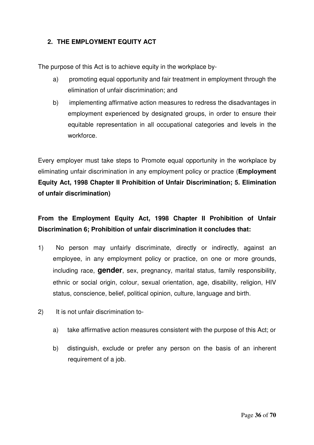#### **2. THE EMPLOYMENT EQUITY ACT**

The purpose of this Act is to achieve equity in the workplace by-

- a) promoting equal opportunity and fair treatment in employment through the elimination of unfair discrimination; and
- b) implementing affirmative action measures to redress the disadvantages in employment experienced by designated groups, in order to ensure their equitable representation in all occupational categories and levels in the workforce.

Every employer must take steps to Promote equal opportunity in the workplace by eliminating unfair discrimination in any employment policy or practice (**Employment Equity Act, 1998 Chapter II Prohibition of Unfair Discrimination; 5. Elimination of unfair discrimination)**

#### **From the Employment Equity Act, 1998 Chapter II Prohibition of Unfair Discrimination 6; Prohibition of unfair discrimination it concludes that:**

- 1) No person may unfairly discriminate, directly or indirectly, against an employee, in any employment policy or practice, on one or more grounds, including race, **gender**, sex, pregnancy, marital status, family responsibility, ethnic or social origin, colour, sexual orientation, age, disability, religion, HIV status, conscience, belief, political opinion, culture, language and birth.
- 2) It is not unfair discrimination to
	- a) take affirmative action measures consistent with the purpose of this Act; or
	- b) distinguish, exclude or prefer any person on the basis of an inherent requirement of a job.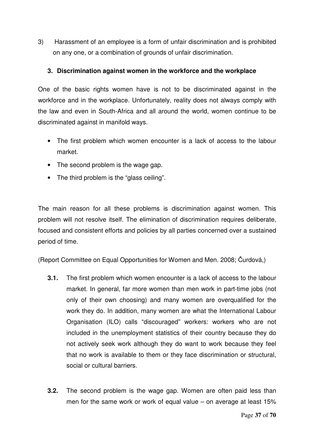3) Harassment of an employee is a form of unfair discrimination and is prohibited on any one, or a combination of grounds of unfair discrimination.

#### **3. Discrimination against women in the workforce and the workplace**

One of the basic rights women have is not to be discriminated against in the workforce and in the workplace. Unfortunately, reality does not always comply with the law and even in South-Africa and all around the world, women continue to be discriminated against in manifold ways.

- The first problem which women encounter is a lack of access to the labour market.
- The second problem is the wage gap.
- The third problem is the "glass ceiling".

The main reason for all these problems is discrimination against women. This problem will not resolve itself. The elimination of discrimination requires deliberate, focused and consistent efforts and policies by all parties concerned over a sustained period of time.

(Report Committee on Equal Opportunities for Women and Men. 2008; Čurdová,)

- **3.1.** The first problem which women encounter is a lack of access to the labour market. In general, far more women than men work in part-time jobs (not only of their own choosing) and many women are overqualified for the work they do. In addition, many women are what the International Labour Organisation (ILO) calls "discouraged" workers: workers who are not included in the unemployment statistics of their country because they do not actively seek work although they do want to work because they feel that no work is available to them or they face discrimination or structural, social or cultural barriers.
- **3.2.** The second problem is the wage gap. Women are often paid less than men for the same work or work of equal value – on average at least 15%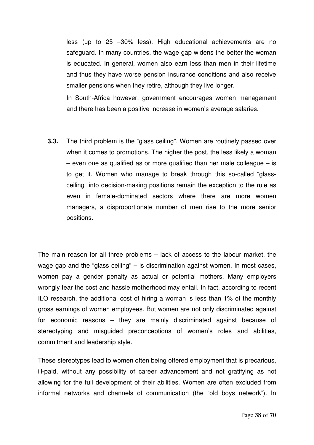less (up to 25 –30% less). High educational achievements are no safeguard. In many countries, the wage gap widens the better the woman is educated. In general, women also earn less than men in their lifetime and thus they have worse pension insurance conditions and also receive smaller pensions when they retire, although they live longer.

In South-Africa however, government encourages women management and there has been a positive increase in women's average salaries.

**3.3.** The third problem is the "glass ceiling". Women are routinely passed over when it comes to promotions. The higher the post, the less likely a woman  $-$  even one as qualified as or more qualified than her male colleague  $-$  is to get it. Women who manage to break through this so-called "glassceiling" into decision-making positions remain the exception to the rule as even in female-dominated sectors where there are more women managers, a disproportionate number of men rise to the more senior positions.

The main reason for all three problems – lack of access to the labour market, the wage gap and the "glass ceiling" – is discrimination against women. In most cases, women pay a gender penalty as actual or potential mothers. Many employers wrongly fear the cost and hassle motherhood may entail. In fact, according to recent ILO research, the additional cost of hiring a woman is less than 1% of the monthly gross earnings of women employees. But women are not only discriminated against for economic reasons – they are mainly discriminated against because of stereotyping and misguided preconceptions of women's roles and abilities, commitment and leadership style.

These stereotypes lead to women often being offered employment that is precarious, ill-paid, without any possibility of career advancement and not gratifying as not allowing for the full development of their abilities. Women are often excluded from informal networks and channels of communication (the "old boys network"). In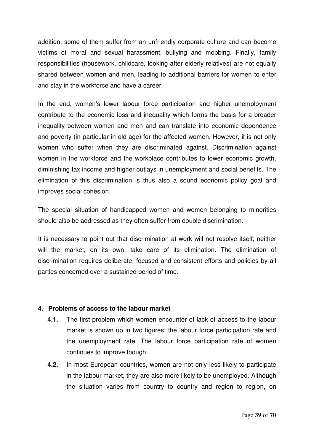addition, some of them suffer from an unfriendly corporate culture and can become victims of moral and sexual harassment, bullying and mobbing. Finally, family responsibilities (housework, childcare, looking after elderly relatives) are not equally shared between women and men, leading to additional barriers for women to enter and stay in the workforce and have a career.

In the end, women's lower labour force participation and higher unemployment contribute to the economic loss and inequality which forms the basis for a broader inequality between women and men and can translate into economic dependence and poverty (in particular in old age) for the affected women. However, it is not only women who suffer when they are discriminated against. Discrimination against women in the workforce and the workplace contributes to lower economic growth, diminishing tax income and higher outlays in unemployment and social benefits. The elimination of this discrimination is thus also a sound economic policy goal and improves social cohesion.

The special situation of handicapped women and women belonging to minorities should also be addressed as they often suffer from double discrimination.

It is necessary to point out that discrimination at work will not resolve itself; neither will the market, on its own, take care of its elimination. The elimination of discrimination requires deliberate, focused and consistent efforts and policies by all parties concerned over a sustained period of time.

#### **4. Problems of access to the labour market**

- **4.1.** The first problem which women encounter of lack of access to the labour market is shown up in two figures: the labour force participation rate and the unemployment rate. The labour force participation rate of women continues to improve though.
- **4.2.** In most European countries, women are not only less likely to participate in the labour market, they are also more likely to be unemployed. Although the situation varies from country to country and region to region, on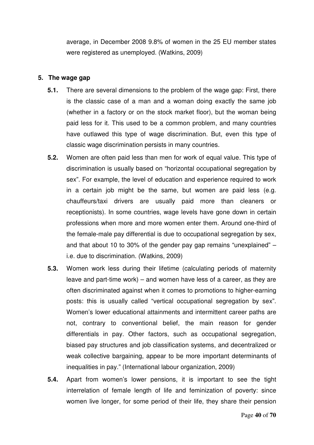average, in December 2008 9.8% of women in the 25 EU member states were registered as unemployed. (Watkins, 2009)

#### **5. The wage gap**

- **5.1.** There are several dimensions to the problem of the wage gap: First, there is the classic case of a man and a woman doing exactly the same job (whether in a factory or on the stock market floor), but the woman being paid less for it. This used to be a common problem, and many countries have outlawed this type of wage discrimination. But, even this type of classic wage discrimination persists in many countries.
- **5.2.** Women are often paid less than men for work of equal value. This type of discrimination is usually based on "horizontal occupational segregation by sex". For example, the level of education and experience required to work in a certain job might be the same, but women are paid less (e.g. chauffeurs/taxi drivers are usually paid more than cleaners or receptionists). In some countries, wage levels have gone down in certain professions when more and more women enter them. Around one-third of the female-male pay differential is due to occupational segregation by sex, and that about 10 to 30% of the gender pay gap remains "unexplained" – i.e. due to discrimination. (Watkins, 2009)
- **5.3.** Women work less during their lifetime (calculating periods of maternity leave and part-time work) – and women have less of a career, as they are often discriminated against when it comes to promotions to higher-earning posts: this is usually called "vertical occupational segregation by sex". Women's lower educational attainments and intermittent career paths are not, contrary to conventional belief, the main reason for gender differentials in pay. Other factors, such as occupational segregation, biased pay structures and job classification systems, and decentralized or weak collective bargaining, appear to be more important determinants of inequalities in pay." (International labour organization, 2009)
- **5.4.** Apart from women's lower pensions, it is important to see the tight interrelation of female length of life and feminization of poverty: since women live longer, for some period of their life, they share their pension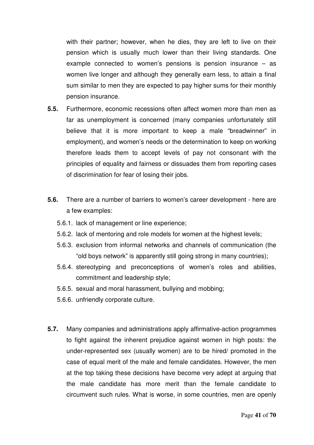with their partner; however, when he dies, they are left to live on their pension which is usually much lower than their living standards. One example connected to women's pensions is pension insurance  $-$  as women live longer and although they generally earn less, to attain a final sum similar to men they are expected to pay higher sums for their monthly pension insurance.

- **5.5.** Furthermore, economic recessions often affect women more than men as far as unemployment is concerned (many companies unfortunately still believe that it is more important to keep a male "breadwinner" in employment), and women's needs or the determination to keep on working therefore leads them to accept levels of pay not consonant with the principles of equality and fairness or dissuades them from reporting cases of discrimination for fear of losing their jobs.
- **5.6.** There are a number of barriers to women's career development here are a few examples:
	- 5.6.1. lack of management or line experience;
	- 5.6.2. lack of mentoring and role models for women at the highest levels;
	- 5.6.3. exclusion from informal networks and channels of communication (the "old boys network" is apparently still going strong in many countries);
	- 5.6.4. stereotyping and preconceptions of women's roles and abilities, commitment and leadership style;
	- 5.6.5. sexual and moral harassment, bullying and mobbing;
	- 5.6.6. unfriendly corporate culture.
- **5.7.** Many companies and administrations apply affirmative-action programmes to fight against the inherent prejudice against women in high posts: the under-represented sex (usually women) are to be hired/ promoted in the case of equal merit of the male and female candidates. However, the men at the top taking these decisions have become very adept at arguing that the male candidate has more merit than the female candidate to circumvent such rules. What is worse, in some countries, men are openly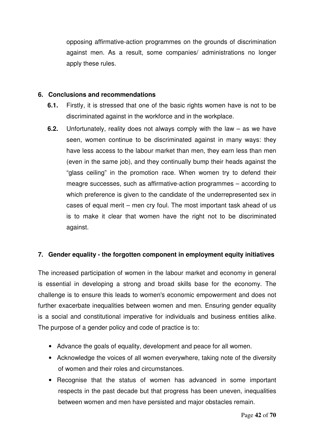opposing affirmative-action programmes on the grounds of discrimination against men. As a result, some companies/ administrations no longer apply these rules.

#### **6. Conclusions and recommendations**

- **6.1.** Firstly, it is stressed that one of the basic rights women have is not to be discriminated against in the workforce and in the workplace.
- **6.2.** Unfortunately, reality does not always comply with the law as we have seen, women continue to be discriminated against in many ways: they have less access to the labour market than men, they earn less than men (even in the same job), and they continually bump their heads against the "glass ceiling" in the promotion race. When women try to defend their meagre successes, such as affirmative-action programmes – according to which preference is given to the candidate of the underrepresented sex in cases of equal merit – men cry foul. The most important task ahead of us is to make it clear that women have the right not to be discriminated against.

#### **7. Gender equality - the forgotten component in employment equity initiatives**

The increased participation of women in the labour market and economy in general is essential in developing a strong and broad skills base for the economy. The challenge is to ensure this leads to women's economic empowerment and does not further exacerbate inequalities between women and men. Ensuring gender equality is a social and constitutional imperative for individuals and business entities alike. The purpose of a gender policy and code of practice is to:

- Advance the goals of equality, development and peace for all women.
- Acknowledge the voices of all women everywhere, taking note of the diversity of women and their roles and circumstances.
- Recognise that the status of women has advanced in some important respects in the past decade but that progress has been uneven, inequalities between women and men have persisted and major obstacles remain.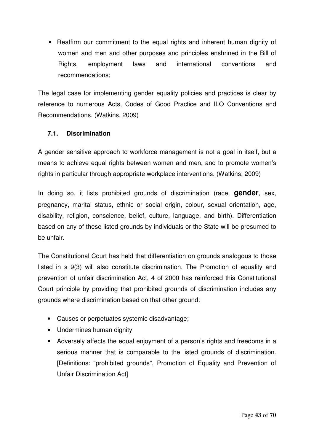• Reaffirm our commitment to the equal rights and inherent human dignity of women and men and other purposes and principles enshrined in the Bill of Rights, employment laws and international conventions and recommendations;

The legal case for implementing gender equality policies and practices is clear by reference to numerous Acts, Codes of Good Practice and ILO Conventions and Recommendations. (Watkins, 2009)

#### **7.1. Discrimination**

A gender sensitive approach to workforce management is not a goal in itself, but a means to achieve equal rights between women and men, and to promote women's rights in particular through appropriate workplace interventions. (Watkins, 2009)

In doing so, it lists prohibited grounds of discrimination (race, **gender**, sex, pregnancy, marital status, ethnic or social origin, colour, sexual orientation, age, disability, religion, conscience, belief, culture, language, and birth). Differentiation based on any of these listed grounds by individuals or the State will be presumed to be unfair.

The Constitutional Court has held that differentiation on grounds analogous to those listed in s 9(3) will also constitute discrimination. The Promotion of equality and prevention of unfair discrimination Act, 4 of 2000 has reinforced this Constitutional Court principle by providing that prohibited grounds of discrimination includes any grounds where discrimination based on that other ground:

- Causes or perpetuates systemic disadvantage;
- Undermines human dignity
- Adversely affects the equal enjoyment of a person's rights and freedoms in a serious manner that is comparable to the listed grounds of discrimination. [Definitions: "prohibited grounds", Promotion of Equality and Prevention of Unfair Discrimination Act]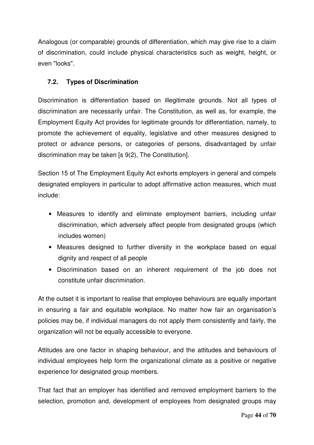Analogous (or comparable) grounds of differentiation, which may give rise to a claim of discrimination, could include physical characteristics such as weight, height, or even "looks".

#### **7.2. Types of Discrimination**

Discrimination is differentiation based on illegitimate grounds. Not all types of discrimination are necessarily unfair. The Constitution, as well as, for example, the Employment Equity Act provides for legitimate grounds for differentiation, namely, to promote the achievement of equality, legislative and other measures designed to protect or advance persons, or categories of persons, disadvantaged by unfair discrimination may be taken [s 9(2), The Constitution].

Section 15 of The Employment Equity Act exhorts employers in general and compels designated employers in particular to adopt affirmative action measures, which must include:

- Measures to identify and eliminate employment barriers, including unfair discrimination, which adversely affect people from designated groups (which includes women)
- Measures designed to further diversity in the workplace based on equal dignity and respect of all people
- Discrimination based on an inherent requirement of the job does not constitute unfair discrimination.

At the outset it is important to realise that employee behaviours are equally important in ensuring a fair and equitable workplace. No matter how fair an organisation's policies may be, if individual managers do not apply them consistently and fairly, the organization will not be equally accessible to everyone.

Attitudes are one factor in shaping behaviour, and the attitudes and behaviours of individual employees help form the organizational climate as a positive or negative experience for designated group members.

That fact that an employer has identified and removed employment barriers to the selection, promotion and, development of employees from designated groups may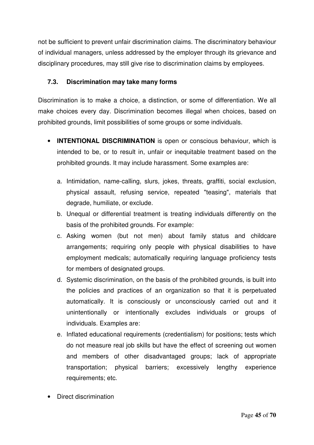not be sufficient to prevent unfair discrimination claims. The discriminatory behaviour of individual managers, unless addressed by the employer through its grievance and disciplinary procedures, may still give rise to discrimination claims by employees.

#### **7.3. Discrimination may take many forms**

Discrimination is to make a choice, a distinction, or some of differentiation. We all make choices every day. Discrimination becomes illegal when choices, based on prohibited grounds, limit possibilities of some groups or some individuals.

- **INTENTIONAL DISCRIMINATION** is open or conscious behaviour, which is intended to be, or to result in, unfair or inequitable treatment based on the prohibited grounds. It may include harassment. Some examples are:
	- a. Intimidation, name-calling, slurs, jokes, threats, graffiti, social exclusion, physical assault, refusing service, repeated "teasing", materials that degrade, humiliate, or exclude.
	- b. Unequal or differential treatment is treating individuals differently on the basis of the prohibited grounds. For example:
	- c. Asking women (but not men) about family status and childcare arrangements; requiring only people with physical disabilities to have employment medicals; automatically requiring language proficiency tests for members of designated groups.
	- d. Systemic discrimination, on the basis of the prohibited grounds, is built into the policies and practices of an organization so that it is perpetuated automatically. It is consciously or unconsciously carried out and it unintentionally or intentionally excludes individuals or groups of individuals. Examples are:
	- e. Inflated educational requirements (credentialism) for positions; tests which do not measure real job skills but have the effect of screening out women and members of other disadvantaged groups; lack of appropriate transportation; physical barriers; excessively lengthy experience requirements; etc.
- Direct discrimination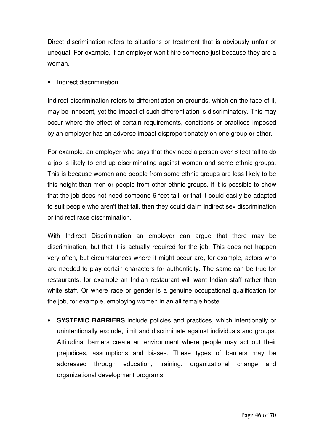Direct discrimination refers to situations or treatment that is obviously unfair or unequal. For example, if an employer won't hire someone just because they are a woman.

#### • Indirect discrimination

Indirect discrimination refers to differentiation on grounds, which on the face of it, may be innocent, yet the impact of such differentiation is discriminatory. This may occur where the effect of certain requirements, conditions or practices imposed by an employer has an adverse impact disproportionately on one group or other.

For example, an employer who says that they need a person over 6 feet tall to do a job is likely to end up discriminating against women and some ethnic groups. This is because women and people from some ethnic groups are less likely to be this height than men or people from other ethnic groups. If it is possible to show that the job does not need someone 6 feet tall, or that it could easily be adapted to suit people who aren't that tall, then they could claim indirect sex discrimination or indirect race discrimination.

With Indirect Discrimination an employer can argue that there may be discrimination, but that it is actually required for the job. This does not happen very often, but circumstances where it might occur are, for example, actors who are needed to play certain characters for authenticity. The same can be true for restaurants, for example an Indian restaurant will want Indian staff rather than white staff. Or where race or gender is a genuine occupational qualification for the job, for example, employing women in an all female hostel.

• **SYSTEMIC BARRIERS** include policies and practices, which intentionally or unintentionally exclude, limit and discriminate against individuals and groups. Attitudinal barriers create an environment where people may act out their prejudices, assumptions and biases. These types of barriers may be addressed through education, training, organizational change and organizational development programs.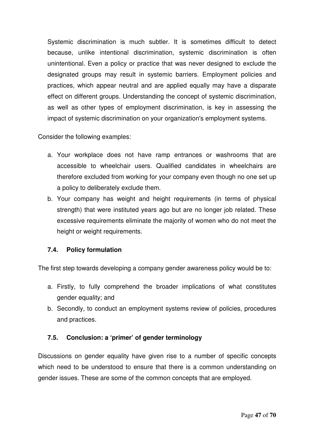Systemic discrimination is much subtler. It is sometimes difficult to detect because, unlike intentional discrimination, systemic discrimination is often unintentional. Even a policy or practice that was never designed to exclude the designated groups may result in systemic barriers. Employment policies and practices, which appear neutral and are applied equally may have a disparate effect on different groups. Understanding the concept of systemic discrimination, as well as other types of employment discrimination, is key in assessing the impact of systemic discrimination on your organization's employment systems.

Consider the following examples:

- a. Your workplace does not have ramp entrances or washrooms that are accessible to wheelchair users. Qualified candidates in wheelchairs are therefore excluded from working for your company even though no one set up a policy to deliberately exclude them.
- b. Your company has weight and height requirements (in terms of physical strength) that were instituted years ago but are no longer job related. These excessive requirements eliminate the majority of women who do not meet the height or weight requirements.

#### **7.4. Policy formulation**

The first step towards developing a company gender awareness policy would be to:

- a. Firstly, to fully comprehend the broader implications of what constitutes gender equality; and
- b. Secondly, to conduct an employment systems review of policies, procedures and practices.

#### **7.5. Conclusion: a 'primer' of gender terminology**

Discussions on gender equality have given rise to a number of specific concepts which need to be understood to ensure that there is a common understanding on gender issues. These are some of the common concepts that are employed.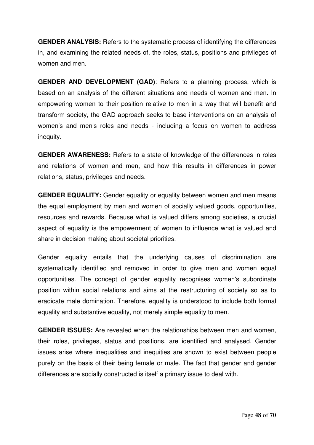**GENDER ANALYSIS:** Refers to the systematic process of identifying the differences in, and examining the related needs of, the roles, status, positions and privileges of women and men.

**GENDER AND DEVELOPMENT (GAD)**: Refers to a planning process, which is based on an analysis of the different situations and needs of women and men. In empowering women to their position relative to men in a way that will benefit and transform society, the GAD approach seeks to base interventions on an analysis of women's and men's roles and needs - including a focus on women to address inequity.

**GENDER AWARENESS:** Refers to a state of knowledge of the differences in roles and relations of women and men, and how this results in differences in power relations, status, privileges and needs.

**GENDER EQUALITY:** Gender equality or equality between women and men means the equal employment by men and women of socially valued goods, opportunities, resources and rewards. Because what is valued differs among societies, a crucial aspect of equality is the empowerment of women to influence what is valued and share in decision making about societal priorities.

Gender equality entails that the underlying causes of discrimination are systematically identified and removed in order to give men and women equal opportunities. The concept of gender equality recognises women's subordinate position within social relations and aims at the restructuring of society so as to eradicate male domination. Therefore, equality is understood to include both formal equality and substantive equality, not merely simple equality to men.

**GENDER ISSUES:** Are revealed when the relationships between men and women, their roles, privileges, status and positions, are identified and analysed. Gender issues arise where inequalities and inequities are shown to exist between people purely on the basis of their being female or male. The fact that gender and gender differences are socially constructed is itself a primary issue to deal with.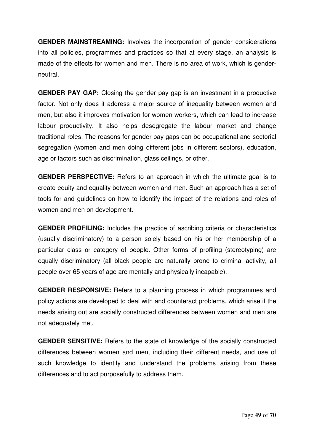**GENDER MAINSTREAMING:** Involves the incorporation of gender considerations into all policies, programmes and practices so that at every stage, an analysis is made of the effects for women and men. There is no area of work, which is genderneutral.

**GENDER PAY GAP:** Closing the gender pay gap is an investment in a productive factor. Not only does it address a major source of inequality between women and men, but also it improves motivation for women workers, which can lead to increase labour productivity. It also helps desegregate the labour market and change traditional roles. The reasons for gender pay gaps can be occupational and sectorial segregation (women and men doing different jobs in different sectors), education, age or factors such as discrimination, glass ceilings, or other.

**GENDER PERSPECTIVE:** Refers to an approach in which the ultimate goal is to create equity and equality between women and men. Such an approach has a set of tools for and guidelines on how to identify the impact of the relations and roles of women and men on development.

**GENDER PROFILING:** Includes the practice of ascribing criteria or characteristics (usually discriminatory) to a person solely based on his or her membership of a particular class or category of people. Other forms of profiling (stereotyping) are equally discriminatory (all black people are naturally prone to criminal activity, all people over 65 years of age are mentally and physically incapable).

**GENDER RESPONSIVE:** Refers to a planning process in which programmes and policy actions are developed to deal with and counteract problems, which arise if the needs arising out are socially constructed differences between women and men are not adequately met.

**GENDER SENSITIVE:** Refers to the state of knowledge of the socially constructed differences between women and men, including their different needs, and use of such knowledge to identify and understand the problems arising from these differences and to act purposefully to address them.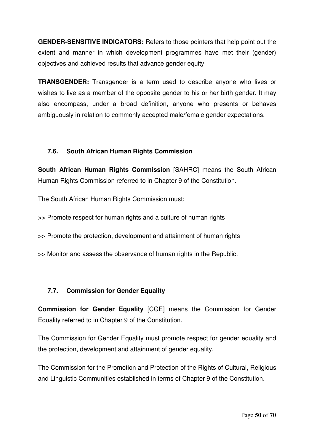**GENDER-SENSITIVE INDICATORS:** Refers to those pointers that help point out the extent and manner in which development programmes have met their (gender) objectives and achieved results that advance gender equity

**TRANSGENDER:** Transgender is a term used to describe anyone who lives or wishes to live as a member of the opposite gender to his or her birth gender. It may also encompass, under a broad definition, anyone who presents or behaves ambiguously in relation to commonly accepted male/female gender expectations.

#### **7.6. South African Human Rights Commission**

**South African Human Rights Commission** [SAHRC] means the South African Human Rights Commission referred to in Chapter 9 of the Constitution.

The South African Human Rights Commission must:

>> Promote respect for human rights and a culture of human rights

>> Promote the protection, development and attainment of human rights

>> Monitor and assess the observance of human rights in the Republic.

#### **7.7. Commission for Gender Equality**

**Commission for Gender Equality** [CGE] means the Commission for Gender Equality referred to in Chapter 9 of the Constitution.

The Commission for Gender Equality must promote respect for gender equality and the protection, development and attainment of gender equality.

The Commission for the Promotion and Protection of the Rights of Cultural, Religious and Linguistic Communities established in terms of Chapter 9 of the Constitution.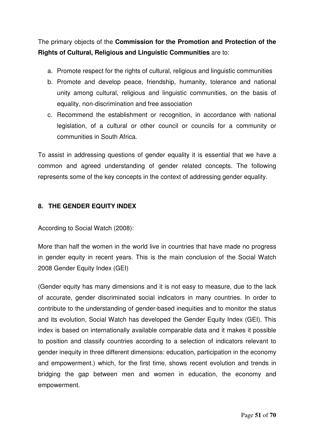The primary objects of the **Commission for the Promotion and Protection of the Rights of Cultural, Religious and Linguistic Communities** are to:

- a. Promote respect for the rights of cultural, religious and linguistic communities
- b. Promote and develop peace, friendship, humanity, tolerance and national unity among cultural, religious and linguistic communities, on the basis of equality, non-discrimination and free association
- c. Recommend the establishment or recognition, in accordance with national legislation, of a cultural or other council or councils for a community or communities in South Africa.

To assist in addressing questions of gender equality it is essential that we have a common and agreed understanding of gender related concepts. The following represents some of the key concepts in the context of addressing gender equality.

#### **8. THE GENDER EQUITY INDEX**

According to Social Watch (2008):

More than half the women in the world live in countries that have made no progress in gender equity in recent years. This is the main conclusion of the Social Watch 2008 Gender Equity Index (GEI)

(Gender equity has many dimensions and it is not easy to measure, due to the lack of accurate, gender discriminated social indicators in many countries. In order to contribute to the understanding of gender-based inequities and to monitor the status and its evolution, Social Watch has developed the Gender Equity Index (GEI). This index is based on internationally available comparable data and it makes it possible to position and classify countries according to a selection of indicators relevant to gender inequity in three different dimensions: education, participation in the economy and empowerment.) which, for the first time, shows recent evolution and trends in bridging the gap between men and women in education, the economy and empowerment.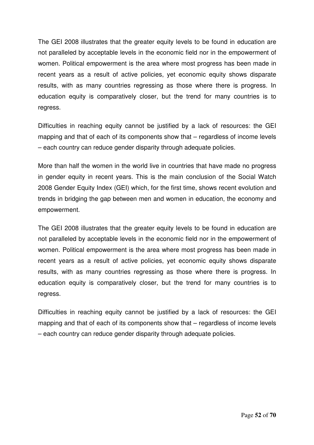The GEI 2008 illustrates that the greater equity levels to be found in education are not paralleled by acceptable levels in the economic field nor in the empowerment of women. Political empowerment is the area where most progress has been made in recent years as a result of active policies, yet economic equity shows disparate results, with as many countries regressing as those where there is progress. In education equity is comparatively closer, but the trend for many countries is to regress.

Difficulties in reaching equity cannot be justified by a lack of resources: the GEI mapping and that of each of its components show that – regardless of income levels – each country can reduce gender disparity through adequate policies.

More than half the women in the world live in countries that have made no progress in gender equity in recent years. This is the main conclusion of the Social Watch 2008 Gender Equity Index (GEI) which, for the first time, shows recent evolution and trends in bridging the gap between men and women in education, the economy and empowerment.

The GEI 2008 illustrates that the greater equity levels to be found in education are not paralleled by acceptable levels in the economic field nor in the empowerment of women. Political empowerment is the area where most progress has been made in recent years as a result of active policies, yet economic equity shows disparate results, with as many countries regressing as those where there is progress. In education equity is comparatively closer, but the trend for many countries is to regress.

Difficulties in reaching equity cannot be justified by a lack of resources: the GEI mapping and that of each of its components show that – regardless of income levels – each country can reduce gender disparity through adequate policies.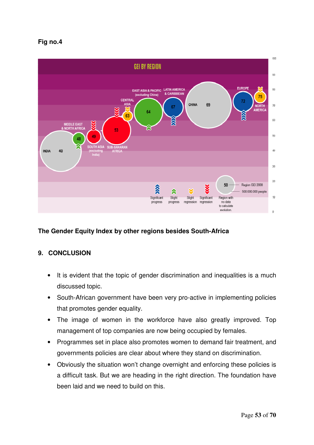#### **Fig no.4**



#### **The Gender Equity Index by other regions besides South-Africa**

#### **9. CONCLUSION**

- It is evident that the topic of gender discrimination and inequalities is a much discussed topic.
- South-African government have been very pro-active in implementing policies that promotes gender equality.
- The image of women in the workforce have also greatly improved. Top management of top companies are now being occupied by females.
- Programmes set in place also promotes women to demand fair treatment, and governments policies are clear about where they stand on discrimination.
- Obviously the situation won't change overnight and enforcing these policies is a difficult task. But we are heading in the right direction. The foundation have been laid and we need to build on this.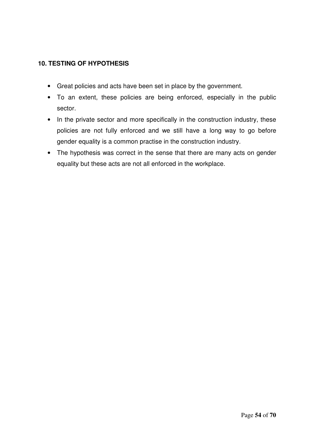#### **10. TESTING OF HYPOTHESIS**

- Great policies and acts have been set in place by the government.
- To an extent, these policies are being enforced, especially in the public sector.
- In the private sector and more specifically in the construction industry, these policies are not fully enforced and we still have a long way to go before gender equality is a common practise in the construction industry.
- The hypothesis was correct in the sense that there are many acts on gender equality but these acts are not all enforced in the workplace.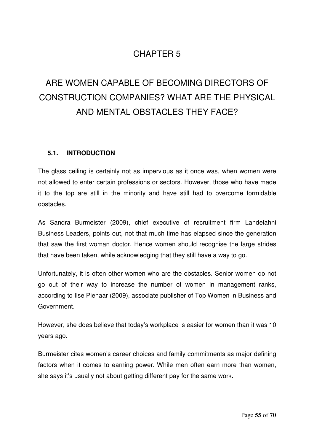## CHAPTER 5

## ARE WOMEN CAPABLE OF BECOMING DIRECTORS OF CONSTRUCTION COMPANIES? WHAT ARE THE PHYSICAL AND MENTAL OBSTACLES THEY FACE?

#### **5.1. INTRODUCTION**

The glass ceiling is certainly not as impervious as it once was, when women were not allowed to enter certain professions or sectors. However, those who have made it to the top are still in the minority and have still had to overcome formidable obstacles.

As Sandra Burmeister (2009), chief executive of recruitment firm Landelahni Business Leaders, points out, not that much time has elapsed since the generation that saw the first woman doctor. Hence women should recognise the large strides that have been taken, while acknowledging that they still have a way to go.

Unfortunately, it is often other women who are the obstacles. Senior women do not go out of their way to increase the number of women in management ranks, according to Ilse Pienaar (2009), associate publisher of Top Women in Business and Government.

However, she does believe that today's workplace is easier for women than it was 10 years ago.

Burmeister cites women's career choices and family commitments as major defining factors when it comes to earning power. While men often earn more than women, she says it's usually not about getting different pay for the same work.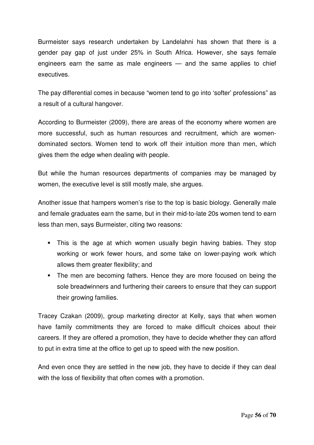Burmeister says research undertaken by Landelahni has shown that there is a gender pay gap of just under 25% in South Africa. However, she says female engineers earn the same as male engineers — and the same applies to chief executives.

The pay differential comes in because "women tend to go into 'softer' professions" as a result of a cultural hangover.

According to Burmeister (2009), there are areas of the economy where women are more successful, such as human resources and recruitment, which are womendominated sectors. Women tend to work off their intuition more than men, which gives them the edge when dealing with people.

But while the human resources departments of companies may be managed by women, the executive level is still mostly male, she argues.

Another issue that hampers women's rise to the top is basic biology. Generally male and female graduates earn the same, but in their mid-to-late 20s women tend to earn less than men, says Burmeister, citing two reasons:

- This is the age at which women usually begin having babies. They stop working or work fewer hours, and some take on lower-paying work which allows them greater flexibility; and
- The men are becoming fathers. Hence they are more focused on being the sole breadwinners and furthering their careers to ensure that they can support their growing families.

Tracey Czakan (2009), group marketing director at Kelly, says that when women have family commitments they are forced to make difficult choices about their careers. If they are offered a promotion, they have to decide whether they can afford to put in extra time at the office to get up to speed with the new position.

And even once they are settled in the new job, they have to decide if they can deal with the loss of flexibility that often comes with a promotion.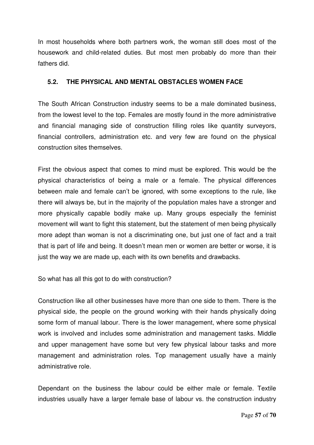In most households where both partners work, the woman still does most of the housework and child-related duties. But most men probably do more than their fathers did.

#### **5.2. THE PHYSICAL AND MENTAL OBSTACLES WOMEN FACE**

The South African Construction industry seems to be a male dominated business, from the lowest level to the top. Females are mostly found in the more administrative and financial managing side of construction filling roles like quantity surveyors, financial controllers, administration etc. and very few are found on the physical construction sites themselves.

First the obvious aspect that comes to mind must be explored. This would be the physical characteristics of being a male or a female. The physical differences between male and female can't be ignored, with some exceptions to the rule, like there will always be, but in the majority of the population males have a stronger and more physically capable bodily make up. Many groups especially the feminist movement will want to fight this statement, but the statement of men being physically more adept than woman is not a discriminating one, but just one of fact and a trait that is part of life and being. It doesn't mean men or women are better or worse, it is just the way we are made up, each with its own benefits and drawbacks.

So what has all this got to do with construction?

Construction like all other businesses have more than one side to them. There is the physical side, the people on the ground working with their hands physically doing some form of manual labour. There is the lower management, where some physical work is involved and includes some administration and management tasks. Middle and upper management have some but very few physical labour tasks and more management and administration roles. Top management usually have a mainly administrative role.

Dependant on the business the labour could be either male or female. Textile industries usually have a larger female base of labour vs. the construction industry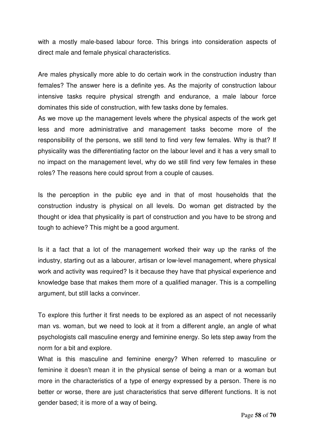with a mostly male-based labour force. This brings into consideration aspects of direct male and female physical characteristics.

Are males physically more able to do certain work in the construction industry than females? The answer here is a definite yes. As the majority of construction labour intensive tasks require physical strength and endurance, a male labour force dominates this side of construction, with few tasks done by females.

As we move up the management levels where the physical aspects of the work get less and more administrative and management tasks become more of the responsibility of the persons, we still tend to find very few females. Why is that? If physicality was the differentiating factor on the labour level and it has a very small to no impact on the management level, why do we still find very few females in these roles? The reasons here could sprout from a couple of causes.

Is the perception in the public eye and in that of most households that the construction industry is physical on all levels. Do woman get distracted by the thought or idea that physicality is part of construction and you have to be strong and tough to achieve? This might be a good argument.

Is it a fact that a lot of the management worked their way up the ranks of the industry, starting out as a labourer, artisan or low-level management, where physical work and activity was required? Is it because they have that physical experience and knowledge base that makes them more of a qualified manager. This is a compelling argument, but still lacks a convincer.

To explore this further it first needs to be explored as an aspect of not necessarily man vs. woman, but we need to look at it from a different angle, an angle of what psychologists call masculine energy and feminine energy. So lets step away from the norm for a bit and explore.

What is this masculine and feminine energy? When referred to masculine or feminine it doesn't mean it in the physical sense of being a man or a woman but more in the characteristics of a type of energy expressed by a person. There is no better or worse, there are just characteristics that serve different functions. It is not gender based; it is more of a way of being.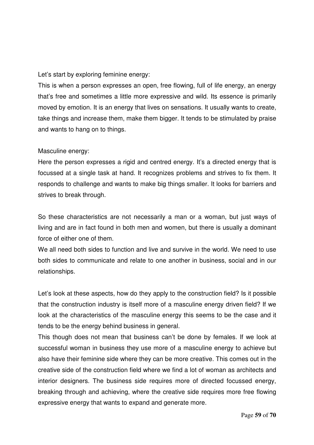Let's start by exploring feminine energy:

This is when a person expresses an open, free flowing, full of life energy, an energy that's free and sometimes a little more expressive and wild. Its essence is primarily moved by emotion. It is an energy that lives on sensations. It usually wants to create, take things and increase them, make them bigger. It tends to be stimulated by praise and wants to hang on to things.

#### Masculine energy:

Here the person expresses a rigid and centred energy. It's a directed energy that is focussed at a single task at hand. It recognizes problems and strives to fix them. It responds to challenge and wants to make big things smaller. It looks for barriers and strives to break through.

So these characteristics are not necessarily a man or a woman, but just ways of living and are in fact found in both men and women, but there is usually a dominant force of either one of them.

We all need both sides to function and live and survive in the world. We need to use both sides to communicate and relate to one another in business, social and in our relationships.

Let's look at these aspects, how do they apply to the construction field? Is it possible that the construction industry is itself more of a masculine energy driven field? If we look at the characteristics of the masculine energy this seems to be the case and it tends to be the energy behind business in general.

This though does not mean that business can't be done by females. If we look at successful woman in business they use more of a masculine energy to achieve but also have their feminine side where they can be more creative. This comes out in the creative side of the construction field where we find a lot of woman as architects and interior designers. The business side requires more of directed focussed energy, breaking through and achieving, where the creative side requires more free flowing expressive energy that wants to expand and generate more.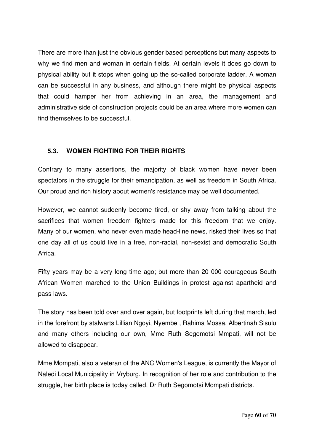There are more than just the obvious gender based perceptions but many aspects to why we find men and woman in certain fields. At certain levels it does go down to physical ability but it stops when going up the so-called corporate ladder. A woman can be successful in any business, and although there might be physical aspects that could hamper her from achieving in an area, the management and administrative side of construction projects could be an area where more women can find themselves to be successful.

#### **5.3. WOMEN FIGHTING FOR THEIR RIGHTS**

Contrary to many assertions, the majority of black women have never been spectators in the struggle for their emancipation, as well as freedom in South Africa. Our proud and rich history about women's resistance may be well documented.

However, we cannot suddenly become tired, or shy away from talking about the sacrifices that women freedom fighters made for this freedom that we enjoy. Many of our women, who never even made head-line news, risked their lives so that one day all of us could live in a free, non-racial, non-sexist and democratic South Africa.

Fifty years may be a very long time ago; but more than 20 000 courageous South African Women marched to the Union Buildings in protest against apartheid and pass laws.

The story has been told over and over again, but footprints left during that march, led in the forefront by stalwarts Lillian Ngoyi, Nyembe , Rahima Mossa, Albertinah Sisulu and many others including our own, Mme Ruth Segomotsi Mmpati, will not be allowed to disappear.

Mme Mompati, also a veteran of the ANC Women's League, is currently the Mayor of Naledi Local Municipality in Vryburg. In recognition of her role and contribution to the struggle, her birth place is today called, Dr Ruth Segomotsi Mompati districts.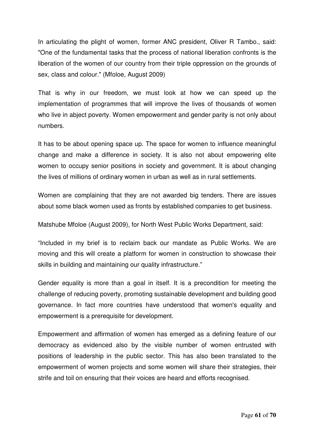In articulating the plight of women, former ANC president, Oliver R Tambo., said: "One of the fundamental tasks that the process of national liberation confronts is the liberation of the women of our country from their triple oppression on the grounds of sex, class and colour." (Mfoloe, August 2009)

That is why in our freedom, we must look at how we can speed up the implementation of programmes that will improve the lives of thousands of women who live in abject poverty. Women empowerment and gender parity is not only about numbers.

It has to be about opening space up. The space for women to influence meaningful change and make a difference in society. It is also not about empowering elite women to occupy senior positions in society and government. It is about changing the lives of millions of ordinary women in urban as well as in rural settlements.

Women are complaining that they are not awarded big tenders. There are issues about some black women used as fronts by established companies to get business.

Matshube Mfoloe (August 2009), for North West Public Works Department, said:

"Included in my brief is to reclaim back our mandate as Public Works. We are moving and this will create a platform for women in construction to showcase their skills in building and maintaining our quality infrastructure."

Gender equality is more than a goal in itself. It is a precondition for meeting the challenge of reducing poverty, promoting sustainable development and building good governance. In fact more countries have understood that women's equality and empowerment is a prerequisite for development.

Empowerment and affirmation of women has emerged as a defining feature of our democracy as evidenced also by the visible number of women entrusted with positions of leadership in the public sector. This has also been translated to the empowerment of women projects and some women will share their strategies, their strife and toil on ensuring that their voices are heard and efforts recognised.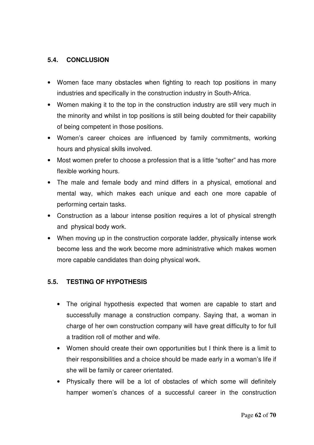#### **5.4. CONCLUSION**

- Women face many obstacles when fighting to reach top positions in many industries and specifically in the construction industry in South-Africa.
- Women making it to the top in the construction industry are still very much in the minority and whilst in top positions is still being doubted for their capability of being competent in those positions.
- Women's career choices are influenced by family commitments, working hours and physical skills involved.
- Most women prefer to choose a profession that is a little "softer" and has more flexible working hours.
- The male and female body and mind differs in a physical, emotional and mental way, which makes each unique and each one more capable of performing certain tasks.
- Construction as a labour intense position requires a lot of physical strength and physical body work.
- When moving up in the construction corporate ladder, physically intense work become less and the work become more administrative which makes women more capable candidates than doing physical work.

#### **5.5. TESTING OF HYPOTHESIS**

- The original hypothesis expected that women are capable to start and successfully manage a construction company. Saying that, a woman in charge of her own construction company will have great difficulty to for full a tradition roll of mother and wife.
- Women should create their own opportunities but I think there is a limit to their responsibilities and a choice should be made early in a woman's life if she will be family or career orientated.
- Physically there will be a lot of obstacles of which some will definitely hamper women's chances of a successful career in the construction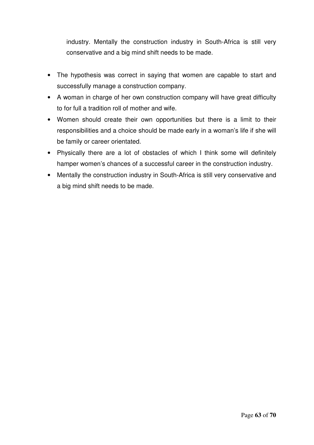industry. Mentally the construction industry in South-Africa is still very conservative and a big mind shift needs to be made.

- The hypothesis was correct in saying that women are capable to start and successfully manage a construction company.
- A woman in charge of her own construction company will have great difficulty to for full a tradition roll of mother and wife.
- Women should create their own opportunities but there is a limit to their responsibilities and a choice should be made early in a woman's life if she will be family or career orientated.
- Physically there are a lot of obstacles of which I think some will definitely hamper women's chances of a successful career in the construction industry.
- Mentally the construction industry in South-Africa is still very conservative and a big mind shift needs to be made.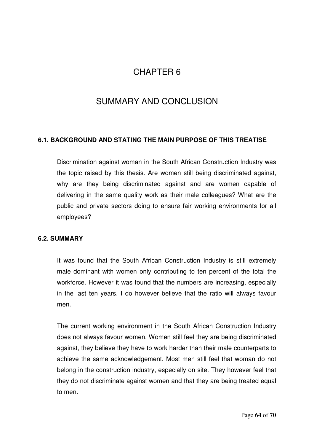## CHAPTER 6

## SUMMARY AND CONCLUSION

#### **6.1. BACKGROUND AND STATING THE MAIN PURPOSE OF THIS TREATISE**

Discrimination against woman in the South African Construction Industry was the topic raised by this thesis. Are women still being discriminated against, why are they being discriminated against and are women capable of delivering in the same quality work as their male colleagues? What are the public and private sectors doing to ensure fair working environments for all employees?

#### **6.2. SUMMARY**

It was found that the South African Construction Industry is still extremely male dominant with women only contributing to ten percent of the total the workforce. However it was found that the numbers are increasing, especially in the last ten years. I do however believe that the ratio will always favour men.

The current working environment in the South African Construction Industry does not always favour women. Women still feel they are being discriminated against, they believe they have to work harder than their male counterparts to achieve the same acknowledgement. Most men still feel that woman do not belong in the construction industry, especially on site. They however feel that they do not discriminate against women and that they are being treated equal to men.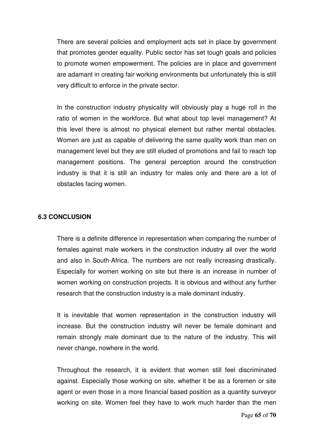There are several policies and employment acts set in place by government that promotes gender equality. Public sector has set tough goals and policies to promote women empowerment. The policies are in place and government are adamant in creating fair working environments but unfortunately this is still very difficult to enforce in the private sector.

In the construction industry physicality will obviously play a huge roll in the ratio of women in the workforce. But what about top level management? At this level there is almost no physical element but rather mental obstacles. Women are just as capable of delivering the same quality work than men on management level but they are still eluded of promotions and fail to reach top management positions. The general perception around the construction industry is that it is still an industry for males only and there are a lot of obstacles facing women.

#### **6.3 CONCLUSION**

There is a definite difference in representation when comparing the number of females against male workers in the construction industry all over the world and also in South-Africa. The numbers are not really increasing drastically. Especially for women working on site but there is an increase in number of women working on construction projects. It is obvious and without any further research that the construction industry is a male dominant industry.

It is inevitable that women representation in the construction industry will increase. But the construction industry will never be female dominant and remain strongly male dominant due to the nature of the industry. This will never change, nowhere in the world.

Throughout the research, it is evident that women still feel discriminated against. Especially those working on site, whether it be as a foremen or site agent or even those in a more financial based position as a quantity surveyor working on site. Women feel they have to work much harder than the men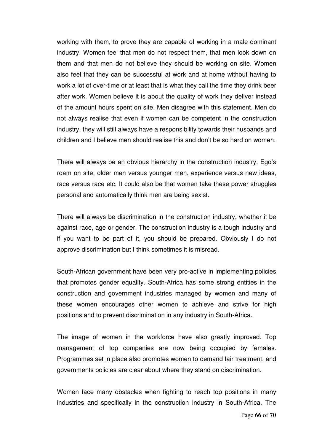working with them, to prove they are capable of working in a male dominant industry. Women feel that men do not respect them, that men look down on them and that men do not believe they should be working on site. Women also feel that they can be successful at work and at home without having to work a lot of over-time or at least that is what they call the time they drink beer after work. Women believe it is about the quality of work they deliver instead of the amount hours spent on site. Men disagree with this statement. Men do not always realise that even if women can be competent in the construction industry, they will still always have a responsibility towards their husbands and children and I believe men should realise this and don't be so hard on women.

There will always be an obvious hierarchy in the construction industry. Ego's roam on site, older men versus younger men, experience versus new ideas, race versus race etc. It could also be that women take these power struggles personal and automatically think men are being sexist.

There will always be discrimination in the construction industry, whether it be against race, age or gender. The construction industry is a tough industry and if you want to be part of it, you should be prepared. Obviously I do not approve discrimination but I think sometimes it is misread.

South-African government have been very pro-active in implementing policies that promotes gender equality. South-Africa has some strong entities in the construction and government industries managed by women and many of these women encourages other women to achieve and strive for high positions and to prevent discrimination in any industry in South-Africa.

The image of women in the workforce have also greatly improved. Top management of top companies are now being occupied by females. Programmes set in place also promotes women to demand fair treatment, and governments policies are clear about where they stand on discrimination.

Women face many obstacles when fighting to reach top positions in many industries and specifically in the construction industry in South-Africa. The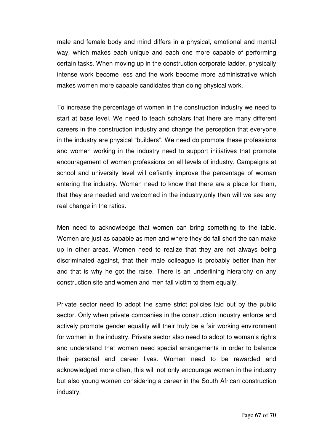male and female body and mind differs in a physical, emotional and mental way, which makes each unique and each one more capable of performing certain tasks. When moving up in the construction corporate ladder, physically intense work become less and the work become more administrative which makes women more capable candidates than doing physical work.

To increase the percentage of women in the construction industry we need to start at base level. We need to teach scholars that there are many different careers in the construction industry and change the perception that everyone in the industry are physical "builders". We need do promote these professions and women working in the industry need to support initiatives that promote encouragement of women professions on all levels of industry. Campaigns at school and university level will defiantly improve the percentage of woman entering the industry. Woman need to know that there are a place for them, that they are needed and welcomed in the industry,only then will we see any real change in the ratios.

Men need to acknowledge that women can bring something to the table. Women are just as capable as men and where they do fall short the can make up in other areas. Women need to realize that they are not always being discriminated against, that their male colleague is probably better than her and that is why he got the raise. There is an underlining hierarchy on any construction site and women and men fall victim to them equally.

Private sector need to adopt the same strict policies laid out by the public sector. Only when private companies in the construction industry enforce and actively promote gender equality will their truly be a fair working environment for women in the industry. Private sector also need to adopt to woman's rights and understand that women need special arrangements in order to balance their personal and career lives. Women need to be rewarded and acknowledged more often, this will not only encourage women in the industry but also young women considering a career in the South African construction industry.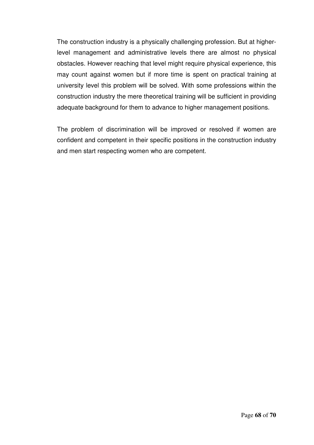The construction industry is a physically challenging profession. But at higherlevel management and administrative levels there are almost no physical obstacles. However reaching that level might require physical experience, this may count against women but if more time is spent on practical training at university level this problem will be solved. With some professions within the construction industry the mere theoretical training will be sufficient in providing adequate background for them to advance to higher management positions.

The problem of discrimination will be improved or resolved if women are confident and competent in their specific positions in the construction industry and men start respecting women who are competent.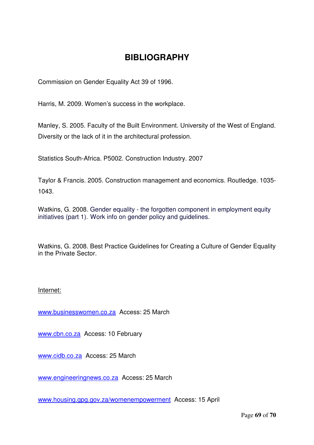## **BIBLIOGRAPHY**

Commission on Gender Equality Act 39 of 1996.

Harris, M. 2009. Women's success in the workplace.

Manley, S. 2005. Faculty of the Built Environment. University of the West of England. Diversity or the lack of it in the architectural profession.

Statistics South-Africa. P5002. Construction Industry. 2007

Taylor & Francis. 2005. Construction management and economics. Routledge. 1035- 1043.

Watkins, G. 2008. Gender equality - the forgotten component in employment equity initiatives (part 1). Work info on gender policy and guidelines.

Watkins, G. 2008. Best Practice Guidelines for Creating a Culture of Gender Equality in the Private Sector.

#### Internet:

www.businesswomen.co.za Access: 25 March

www.cbn.co.za Access: 10 February

www.cidb.co.za Access: 25 March

www.engineeringnews.co.za Access: 25 March

www.housing.gpg.gov.za/womenempowerment Access: 15 April